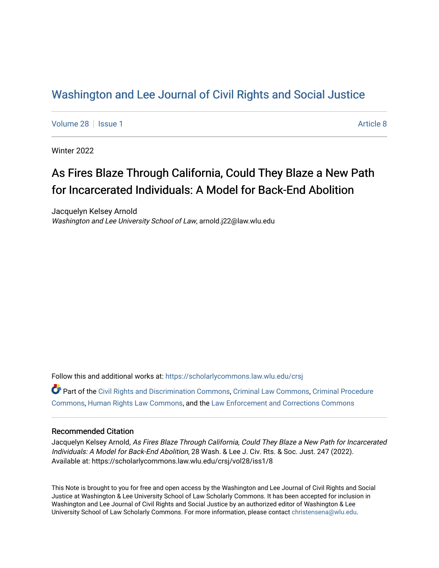## [Washington and Lee Journal of Civil Rights and Social Justice](https://scholarlycommons.law.wlu.edu/crsj)

[Volume 28](https://scholarlycommons.law.wlu.edu/crsj/vol28) | [Issue 1](https://scholarlycommons.law.wlu.edu/crsj/vol28/iss1) [Article 8](https://scholarlycommons.law.wlu.edu/crsj/vol28/iss1/8) | Article 8 | Article 8 | Article 8 | Article 8 | Article 8 | Article 8 | Article 8 | Article 8 | Article 8 | Article 8 | Article 8 | Article 8 | Article 8 | Article 8 | Article 8 | Article 8

Winter 2022

# As Fires Blaze Through California, Could They Blaze a New Path for Incarcerated Individuals: A Model for Back-End Abolition

Jacquelyn Kelsey Arnold Washington and Lee University School of Law, arnold.j22@law.wlu.edu

Follow this and additional works at: [https://scholarlycommons.law.wlu.edu/crsj](https://scholarlycommons.law.wlu.edu/crsj?utm_source=scholarlycommons.law.wlu.edu%2Fcrsj%2Fvol28%2Fiss1%2F8&utm_medium=PDF&utm_campaign=PDFCoverPages) 

Part of the [Civil Rights and Discrimination Commons,](http://network.bepress.com/hgg/discipline/585?utm_source=scholarlycommons.law.wlu.edu%2Fcrsj%2Fvol28%2Fiss1%2F8&utm_medium=PDF&utm_campaign=PDFCoverPages) [Criminal Law Commons,](http://network.bepress.com/hgg/discipline/912?utm_source=scholarlycommons.law.wlu.edu%2Fcrsj%2Fvol28%2Fiss1%2F8&utm_medium=PDF&utm_campaign=PDFCoverPages) [Criminal Procedure](http://network.bepress.com/hgg/discipline/1073?utm_source=scholarlycommons.law.wlu.edu%2Fcrsj%2Fvol28%2Fiss1%2F8&utm_medium=PDF&utm_campaign=PDFCoverPages)  [Commons](http://network.bepress.com/hgg/discipline/1073?utm_source=scholarlycommons.law.wlu.edu%2Fcrsj%2Fvol28%2Fiss1%2F8&utm_medium=PDF&utm_campaign=PDFCoverPages), [Human Rights Law Commons,](http://network.bepress.com/hgg/discipline/847?utm_source=scholarlycommons.law.wlu.edu%2Fcrsj%2Fvol28%2Fiss1%2F8&utm_medium=PDF&utm_campaign=PDFCoverPages) and the [Law Enforcement and Corrections Commons](http://network.bepress.com/hgg/discipline/854?utm_source=scholarlycommons.law.wlu.edu%2Fcrsj%2Fvol28%2Fiss1%2F8&utm_medium=PDF&utm_campaign=PDFCoverPages)

## Recommended Citation

Jacquelyn Kelsey Arnold, As Fires Blaze Through California, Could They Blaze a New Path for Incarcerated Individuals: A Model for Back-End Abolition, 28 Wash. & Lee J. Civ. Rts. & Soc. Just. 247 (2022). Available at: https://scholarlycommons.law.wlu.edu/crsj/vol28/iss1/8

This Note is brought to you for free and open access by the Washington and Lee Journal of Civil Rights and Social Justice at Washington & Lee University School of Law Scholarly Commons. It has been accepted for inclusion in Washington and Lee Journal of Civil Rights and Social Justice by an authorized editor of Washington & Lee University School of Law Scholarly Commons. For more information, please contact [christensena@wlu.edu.](mailto:christensena@wlu.edu)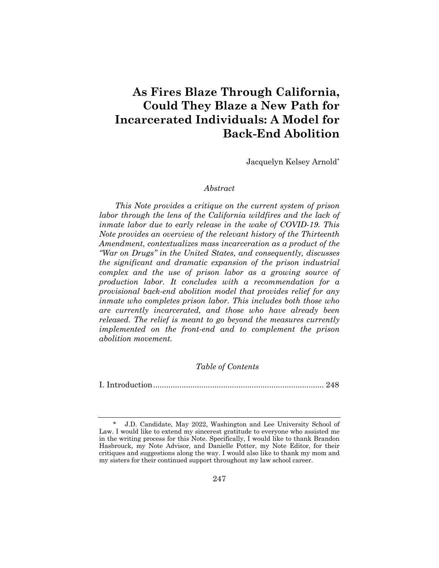## **As Fires Blaze Through California, Could They Blaze a New Path for Incarcerated Individuals: A Model for Back-End Abolition**

Jacquelyn Kelsey Arnold\*

#### *Abstract*

*This Note provides a critique on the current system of prison labor through the lens of the California wildfires and the lack of inmate labor due to early release in the wake of COVID-19. This Note provides an overview of the relevant history of the Thirteenth Amendment, contextualizes mass incarceration as a product of the "War on Drugs" in the United States, and consequently, discusses the significant and dramatic expansion of the prison industrial complex and the use of prison labor as a growing source of production labor. It concludes with a recommendation for a provisional back-end abolition model that provides relief for any inmate who completes prison labor. This includes both those who are currently incarcerated, and those who have already been released. The relief is meant to go beyond the measures currently implemented on the front-end and to complement the prison abolition movement.*

## *Table of Contents*

I. Introduction.............................................................................. 248

<sup>\*</sup> J.D. Candidate, May 2022, Washington and Lee University School of Law. I would like to extend my sincerest gratitude to everyone who assisted me in the writing process for this Note. Specifically, I would like to thank Brandon Hasbrouck, my Note Advisor, and Danielle Potter, my Note Editor, for their critiques and suggestions along the way. I would also like to thank my mom and my sisters for their continued support throughout my law school career.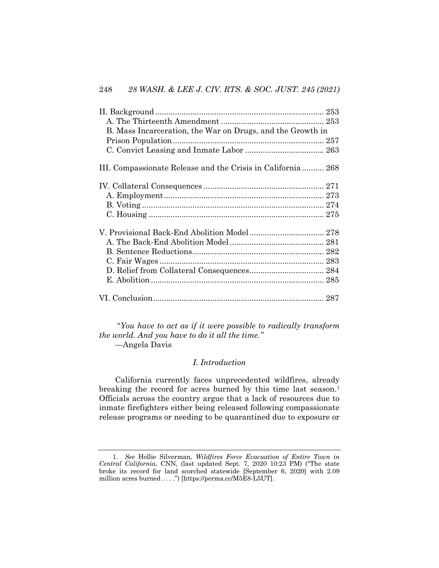| B. Mass Incarceration, the War on Drugs, and the Growth in  |  |
|-------------------------------------------------------------|--|
|                                                             |  |
|                                                             |  |
| III. Compassionate Release and the Crisis in California 268 |  |
|                                                             |  |
|                                                             |  |
|                                                             |  |
|                                                             |  |
|                                                             |  |
|                                                             |  |
|                                                             |  |
|                                                             |  |
|                                                             |  |
|                                                             |  |
|                                                             |  |

"*You have to act as if it were possible to radically transform the world. And you have to do it all the time."* —Angela Davis

## *I. Introduction*

California currently faces unprecedented wildfires, already breaking the record for acres burned by this time last season.<sup>1</sup> Officials across the country argue that a lack of resources due to inmate firefighters either being released following compassionate release programs or needing to be quarantined due to exposure or

<sup>1</sup>*. See* Hollie Silverman, *Wildfires Force Evacuation of Entire Town in Central California*, CNN, (last updated Sept. 7, 2020 10:23 PM) ("The state broke its record for land scorched statewide [September 6, 2020] with 2.09 million acres burned . . . .") [https://perma.cc/M5E8-L5UT].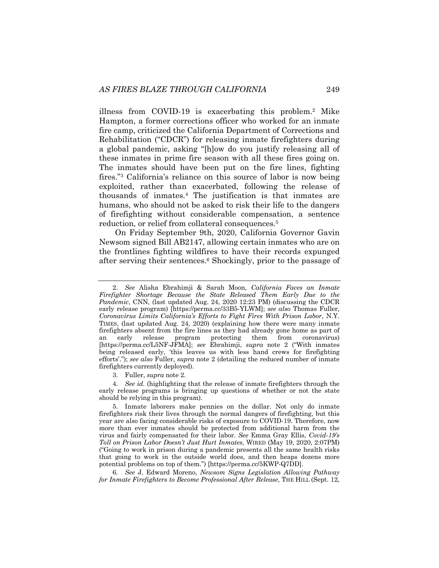illness from COVID-19 is exacerbating this problem.2 Mike Hampton, a former corrections officer who worked for an inmate fire camp, criticized the California Department of Corrections and Rehabilitation ("CDCR") for releasing inmate firefighters during a global pandemic, asking "[h]ow do you justify releasing all of these inmates in prime fire season with all these fires going on. The inmates should have been put on the fire lines, fighting fires."3 California's reliance on this source of labor is now being exploited, rather than exacerbated, following the release of thousands of inmates.4 The justification is that inmates are humans, who should not be asked to risk their life to the dangers of firefighting without considerable compensation, a sentence reduction, or relief from collateral consequences.5

On Friday September 9th, 2020, California Governor Gavin Newsom signed Bill AB2147, allowing certain inmates who are on the frontlines fighting wildfires to have their records expunged after serving their sentences.6 Shockingly, prior to the passage of

3. Fuller, *supra* note 2.

4*. See id.* (highlighting that the release of inmate firefighters through the early release programs is bringing up questions of whether or not the state should be relying in this program).

6*. See* J. Edward Moreno, *Newsom Signs Legislation Allowing Pathway for Inmate Firefighters to Become Professional After Release*, THE HILL (Sept. 12,

<sup>2.</sup> *See* Alisha Ebrahimji & Sarah Moon, *California Faces an Inmate Firefighter Shortage Because the State Released Them Early Due to the Pandemic*, CNN, (last updated Aug. 24, 2020 12:23 PM) (discussing the CDCR early release program) [https://perma.cc/33B5-YLWM]; *see also* Thomas Fuller, *Coronavirus Limits California's Efforts to Fight Fires With Prison Labor*, N.Y. TIMES, (last updated Aug. 24, 2020) (explaining how there were many inmate firefighters absent from the fire lines as they had already gone home as part of an early release program protecting them from coronavirus) [https://perma.cc/L5NF-JFMA]; *see* Ebrahimji, *supra* note 2 ("With inmates being released early, 'this leaves us with less hand crews for firefighting efforts'."); *see also* Fuller, *supra* note 2 (detailing the reduced number of inmate firefighters currently deployed).

<sup>5.</sup> Inmate laborers make pennies on the dollar. Not only do inmate firefighters risk their lives through the normal dangers of firefighting, but this year are also facing considerable risks of exposure to COVID-19. Therefore, now more than ever inmates should be protected from additional harm from the virus and fairly compensated for their labor. *See* Emma Gray Ellis, *Covid-19's Toll on Prison Labor Doesn't Just Hurt Inmates*, WIRED (May 19, 2020, 2:07PM) ("Going to work in prison during a pandemic presents all the same health risks that going to work in the outside world does, and then heaps dozens more potential problems on top of them.") [https://perma.cc/5KWP-Q7DD].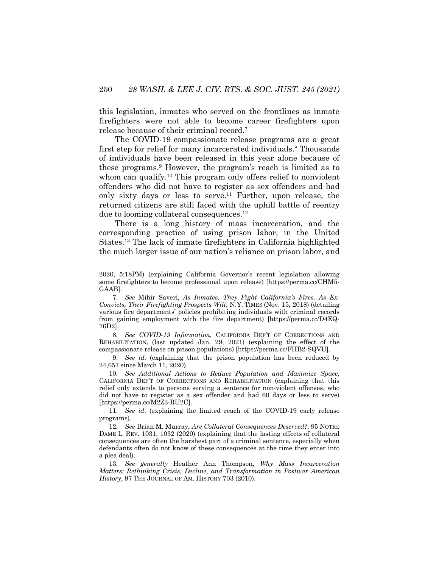this legislation, inmates who served on the frontlines as inmate firefighters were not able to become career firefighters upon release because of their criminal record.7

The COVID-19 compassionate release programs are a great first step for relief for many incarcerated individuals.8 Thousands of individuals have been released in this year alone because of these programs.9 However, the program's reach is limited as to whom can qualify.<sup>10</sup> This program only offers relief to nonviolent offenders who did not have to register as sex offenders and had only sixty days or less to serve.11 Further, upon release, the returned citizens are still faced with the uphill battle of reentry due to looming collateral consequences.12

There is a long history of mass incarceration, and the corresponding practice of using prison labor, in the United States.13 The lack of inmate firefighters in California highlighted the much larger issue of our nation's reliance on prison labor, and

8*. See COVID-19 Information*, CALIFORNIA DEP'T OF CORRECTIONS AND REHABILITATION, (last updated Jan. 29, 2021) (explaining the effect of the compassionate release on prison populations) [https://perma.cc/FHB2-SQVU].

9. *See id.* (explaining that the prison population has been reduced by 24,657 since March 11, 2020).

10*. See Additional Actions to Reduce Population and Maximize Space*, CALIFORNIA DEP'T OF CORRECTIONS AND REHABILITATION (explaining that this relief only extends to persons serving a sentence for non-violent offenses, who did not have to register as a sex offender and had 60 days or less to serve) [https://perma.cc/M2Z3-RU2C].

11*. See id*. (explaining the limited reach of the COVID-19 early release programs).

12*. See* Brian M. Murray, *Are Collateral Consequences Deserved?*, 95 NOTRE DAME L. REV. 1031, 1032 (2020) (explaining that the lasting effects of collateral consequences are often the harshest part of a criminal sentence, especially when defendants often do not know of these consequences at the time they enter into a plea deal).

13*. See generally* Heather Ann Thompson, *Why Mass Incarceration Matters: Rethinking Crisis, Decline, and Transformation in Postwar American History*, 97 THE JOURNAL OF AM. HISTORY 703 (2010).

<sup>2020, 5:18</sup>PM) (explaining California Governor's recent legislation allowing some firefighters to become professional upon release) [https://perma.cc/CHM5- GAAB].

<sup>7</sup>*. See* Mihir Saveri, *As Inmates, They Fight California's Fires. As Ex-Convicts, Their Firefighting Prospects Wilt*, N.Y. TIMES (Nov. 15, 2018) (detailing various fire departments' policies prohibiting individuals with criminal records from gaining employment with the fire department) [https://perma.cc/D4EQ-76D2].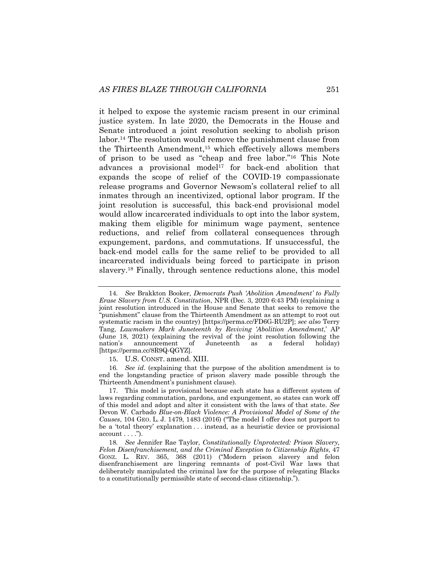it helped to expose the systemic racism present in our criminal justice system. In late 2020, the Democrats in the House and Senate introduced a joint resolution seeking to abolish prison labor.14 The resolution would remove the punishment clause from the Thirteenth Amendment,15 which effectively allows members of prison to be used as "cheap and free labor."16 This Note advances a provisional model<sup>17</sup> for back-end abolition that expands the scope of relief of the COVID-19 compassionate release programs and Governor Newsom's collateral relief to all inmates through an incentivized, optional labor program. If the joint resolution is successful, this back-end provisional model would allow incarcerated individuals to opt into the labor system, making them eligible for minimum wage payment, sentence reductions, and relief from collateral consequences through expungement, pardons, and commutations. If unsuccessful, the back-end model calls for the same relief to be provided to all incarcerated individuals being forced to participate in prison slavery.18 Finally, through sentence reductions alone, this model

15. U.S. CONST. amend. XIII.

16*. See id*. (explaining that the purpose of the abolition amendment is to end the longstanding practice of prison slavery made possible through the Thirteenth Amendment's punishment clause).

17. This model is provisional because each state has a different system of laws regarding commutation, pardons, and expungement, so states can work off of this model and adopt and alter it consistent with the laws of that state. *See*  Devon W. Carbado *Blue-on-Black Violence: A Provisional Model of Some of the Causes*, 104 GEO. L. J. 1479, 1483 (2016) ("The model I offer does not purport to be a 'total theory' explanation . . . instead, as a heuristic device or provisional  $account \dots$ ").

<sup>14</sup>*. See* Brakkton Booker, *Democrats Push 'Abolition Amendment' to Fully Erase Slavery from U.S. Constitution*, NPR (Dec. 3, 2020 6:43 PM) (explaining a joint resolution introduced in the House and Senate that seeks to remove the "punishment" clause from the Thirteenth Amendment as an attempt to root out systematic racism in the country) [https://perma.cc/FD6G-RU2P]; *see also* Terry Tang, *Lawmakers Mark Juneteenth by Reviving 'Abolition Amendment*,' AP (June 18, 2021) (explaining the revival of the joint resolution following the nation's announcement of Juneteenth as a federal holiday) [https://perma.cc/8R9Q-QGYZ].

<sup>18</sup>*. See* Jennifer Rae Taylor, *Constitutionally Unprotected: Prison Slavery, Felon Disenfranchisement, and the Criminal Exception to Citizenship Rights*, 47 GONZ. L. REV. 365, 368 (2011) ("Modern prison slavery and felon disenfranchisement are lingering remnants of post-Civil War laws that deliberately manipulated the criminal law for the purpose of relegating Blacks to a constitutionally permissible state of second-class citizenship.").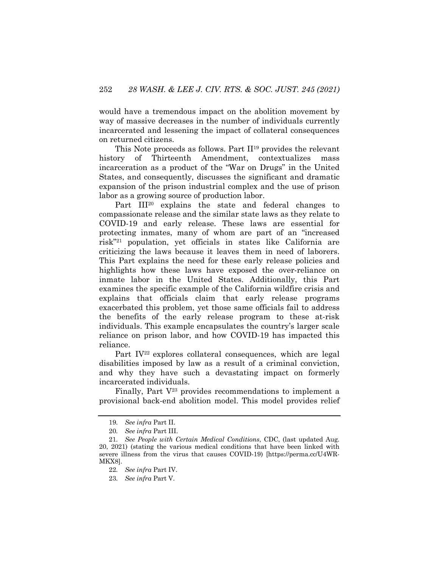would have a tremendous impact on the abolition movement by way of massive decreases in the number of individuals currently incarcerated and lessening the impact of collateral consequences on returned citizens.

This Note proceeds as follows. Part II19 provides the relevant history of Thirteenth Amendment, contextualizes mass incarceration as a product of the "War on Drugs" in the United States, and consequently, discusses the significant and dramatic expansion of the prison industrial complex and the use of prison labor as a growing source of production labor.

Part III20 explains the state and federal changes to compassionate release and the similar state laws as they relate to COVID-19 and early release. These laws are essential for protecting inmates, many of whom are part of an "increased risk"21 population, yet officials in states like California are criticizing the laws because it leaves them in need of laborers. This Part explains the need for these early release policies and highlights how these laws have exposed the over-reliance on inmate labor in the United States. Additionally, this Part examines the specific example of the California wildfire crisis and explains that officials claim that early release programs exacerbated this problem, yet those same officials fail to address the benefits of the early release program to these at-risk individuals. This example encapsulates the country's larger scale reliance on prison labor, and how COVID-19 has impacted this reliance.

Part IV<sup>22</sup> explores collateral consequences, which are legal disabilities imposed by law as a result of a criminal conviction, and why they have such a devastating impact on formerly incarcerated individuals.

Finally, Part  $V^{23}$  provides recommendations to implement a provisional back-end abolition model. This model provides relief

<sup>19</sup>*. See infra* Part II.

<sup>20</sup>*. See infra* Part III.

<sup>21</sup>*. See People with Certain Medical Conditions*, CDC, (last updated Aug. 20, 2021) (stating the various medical conditions that have been linked with severe illness from the virus that causes COVID-19) [https://perma.cc/U4WR-MKX8].

<sup>22</sup>*. See infra* Part IV.

<sup>23</sup>*. See infra* Part V.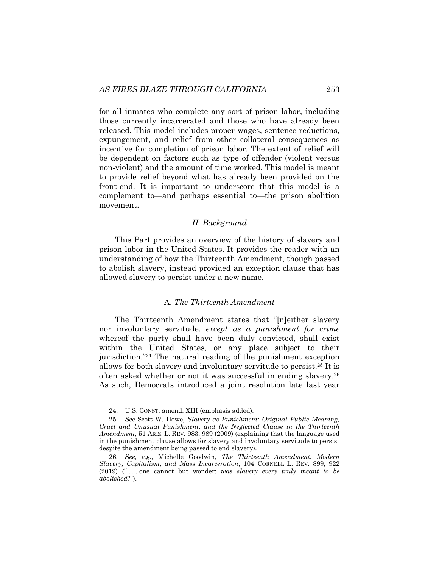for all inmates who complete any sort of prison labor, including those currently incarcerated and those who have already been released. This model includes proper wages, sentence reductions, expungement, and relief from other collateral consequences as incentive for completion of prison labor. The extent of relief will be dependent on factors such as type of offender (violent versus non-violent) and the amount of time worked. This model is meant to provide relief beyond what has already been provided on the front-end. It is important to underscore that this model is a complement to—and perhaps essential to—the prison abolition movement.

#### *II. Background*

This Part provides an overview of the history of slavery and prison labor in the United States. It provides the reader with an understanding of how the Thirteenth Amendment, though passed to abolish slavery, instead provided an exception clause that has allowed slavery to persist under a new name.

#### A. *The Thirteenth Amendment*

The Thirteenth Amendment states that "[n]either slavery nor involuntary servitude, *except as a punishment for crime* whereof the party shall have been duly convicted, shall exist within the United States, or any place subject to their jurisdiction."<sup>24</sup> The natural reading of the punishment exception allows for both slavery and involuntary servitude to persist.25 It is often asked whether or not it was successful in ending slavery.26 As such, Democrats introduced a joint resolution late last year

<sup>24.</sup> U.S. CONST. amend. XIII (emphasis added).

<sup>25</sup>*. See* Scott W. Howe, *Slavery as Punishment: Original Public Meaning, Cruel and Unusual Punishment, and the Neglected Clause in the Thirteenth Amendment*, 51 ARIZ. L. REV. 983, 989 (2009) (explaining that the language used in the punishment clause allows for slavery and involuntary servitude to persist despite the amendment being passed to end slavery).

<sup>26</sup>*. See, e.g.*, Michelle Goodwin, *The Thirteenth Amendment: Modern Slavery, Capitalism, and Mass Incarceration*, 104 CORNELL L. REV. 899, 922 (2019) (" . . . one cannot but wonder: *was slavery every truly meant to be abolished*?").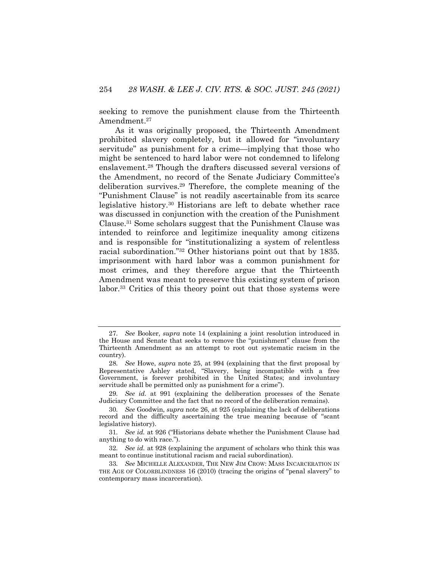seeking to remove the punishment clause from the Thirteenth Amendment.<sup>27</sup>

As it was originally proposed, the Thirteenth Amendment prohibited slavery completely, but it allowed for "involuntary servitude" as punishment for a crime—implying that those who might be sentenced to hard labor were not condemned to lifelong enslavement.28 Though the drafters discussed several versions of the Amendment, no record of the Senate Judiciary Committee's deliberation survives.29 Therefore, the complete meaning of the "Punishment Clause" is not readily ascertainable from its scarce legislative history.30 Historians are left to debate whether race was discussed in conjunction with the creation of the Punishment Clause.31 Some scholars suggest that the Punishment Clause was intended to reinforce and legitimize inequality among citizens and is responsible for "institutionalizing a system of relentless racial subordination."32 Other historians point out that by 1835. imprisonment with hard labor was a common punishment for most crimes, and they therefore argue that the Thirteenth Amendment was meant to preserve this existing system of prison labor.<sup>33</sup> Critics of this theory point out that those systems were

<sup>27</sup>*. See* Booker, *supra* note 14 (explaining a joint resolution introduced in the House and Senate that seeks to remove the "punishment" clause from the Thirteenth Amendment as an attempt to root out systematic racism in the country).

<sup>28</sup>*. See* Howe, *supra* note 25, at 994 (explaining that the first proposal by Representative Ashley stated, "Slavery, being incompatible with a free Government, is forever prohibited in the United States; and involuntary servitude shall be permitted only as punishment for a crime").

<sup>29</sup>*. See id.* at 991 (explaining the deliberation processes of the Senate Judiciary Committee and the fact that no record of the deliberation remains).

<sup>30</sup>*. See* Goodwin, *supra* note 26, at 925 (explaining the lack of deliberations record and the difficulty ascertaining the true meaning because of "scant legislative history).

<sup>31</sup>*. See id.* at 926 ("Historians debate whether the Punishment Clause had anything to do with race.").

<sup>32</sup>*. See id.* at 928 (explaining the argument of scholars who think this was meant to continue institutional racism and racial subordination).

<sup>33</sup>*. See* MICHELLE ALEXANDER, THE NEW JIM CROW: MASS INCARCERATION IN THE AGE OF COLORBLINDNESS 16 (2010) (tracing the origins of "penal slavery" to contemporary mass incarceration).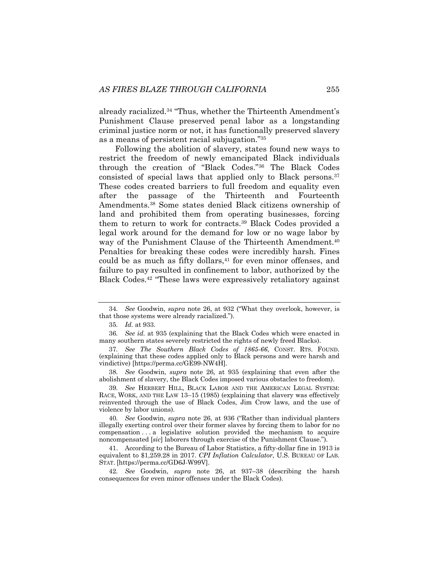already racialized.34 "Thus, whether the Thirteenth Amendment's Punishment Clause preserved penal labor as a longstanding criminal justice norm or not, it has functionally preserved slavery as a means of persistent racial subjugation."35

Following the abolition of slavery, states found new ways to restrict the freedom of newly emancipated Black individuals through the creation of "Black Codes."36 The Black Codes consisted of special laws that applied only to Black persons.37 These codes created barriers to full freedom and equality even after the passage of the Thirteenth and Fourteenth Amendments.38 Some states denied Black citizens ownership of land and prohibited them from operating businesses, forcing them to return to work for contracts.39 Black Codes provided a legal work around for the demand for low or no wage labor by way of the Punishment Clause of the Thirteenth Amendment.<sup>40</sup> Penalties for breaking these codes were incredibly harsh. Fines could be as much as fifty dollars,<sup>41</sup> for even minor offenses, and failure to pay resulted in confinement to labor, authorized by the Black Codes.42 "These laws were expressively retaliatory against

38*. See* Goodwin, *supra* note 26, at 935 (explaining that even after the abolishment of slavery, the Black Codes imposed various obstacles to freedom).

39*. See* HERBERT HILL, BLACK LABOR AND THE AMERICAN LEGAL SYSTEM: RACE, WORK, AND THE LAW 13–15 (1985) (explaining that slavery was effectively reinvented through the use of Black Codes, Jim Crow laws, and the use of violence by labor unions).

40*. See* Goodwin, *supra* note 26, at 936 ("Rather than individual planters illegally exerting control over their former slaves by forcing them to labor for no compensation . . . a legislative solution provided the mechanism to acquire noncompensated [*sic*] laborers through exercise of the Punishment Clause.").

41. According to the Bureau of Labor Statistics, a fifty-dollar fine in 1913 is equivalent to \$1,259.28 in 2017. *CPI Inflation Calculator*, U.S. BUREAU OF LAB. STAT. [https://perma.cc/GD6J-W99V].

42*. See* Goodwin, *supra* note 26, at 937–38 (describing the harsh consequences for even minor offenses under the Black Codes).

<sup>34</sup>*. See* Goodwin, *supra* note 26, at 932 ("What they overlook, however, is that those systems were already racialized.").

<sup>35</sup>*. Id.* at 933.

<sup>36</sup>*. See id.* at 935 (explaining that the Black Codes which were enacted in many southern states severely restricted the rights of newly freed Blacks).

<sup>37</sup>*. See The Southern Black Codes of 1865-66*, CONST. RTS. FOUND. (explaining that these codes applied only to Black persons and were harsh and vindictive) [https://perma.cc/GE99-NW4H].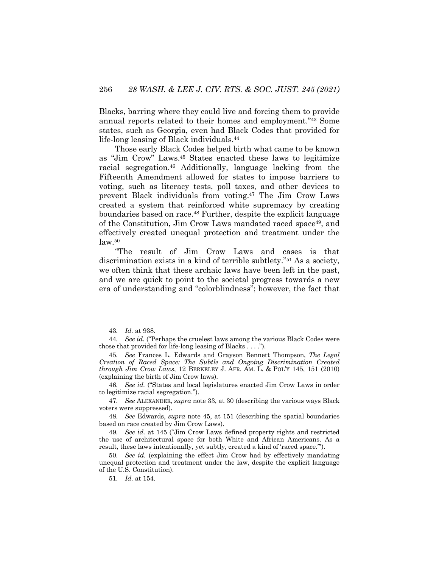Blacks, barring where they could live and forcing them to provide annual reports related to their homes and employment."43 Some states, such as Georgia, even had Black Codes that provided for life-long leasing of Black individuals.44

Those early Black Codes helped birth what came to be known as "Jim Crow" Laws.45 States enacted these laws to legitimize racial segregation.46 Additionally, language lacking from the Fifteenth Amendment allowed for states to impose barriers to voting, such as literacy tests, poll taxes, and other devices to prevent Black individuals from voting.47 The Jim Crow Laws created a system that reinforced white supremacy by creating boundaries based on race.48 Further, despite the explicit language of the Constitution, Jim Crow Laws mandated raced space49, and effectively created unequal protection and treatment under the  $law<sup>50</sup>$ 

"The result of Jim Crow Laws and cases is that discrimination exists in a kind of terrible subtlety."51 As a society, we often think that these archaic laws have been left in the past, and we are quick to point to the societal progress towards a new era of understanding and "colorblindness"; however, the fact that

<sup>43</sup>*. Id.* at 938.

<sup>44</sup>*. See id*. ("Perhaps the cruelest laws among the various Black Codes were those that provided for life-long leasing of Blacks . . . .").

<sup>45</sup>*. See* Frances L. Edwards and Grayson Bennett Thompson, *The Legal Creation of Raced Space: The Subtle and Ongoing Discrimination Created through Jim Crow Laws*, 12 BERKELEY J. AFR. AM. L. & POL'Y 145, 151 (2010) (explaining the birth of Jim Crow laws).

<sup>46</sup>*. See id.* ("States and local legislatures enacted Jim Crow Laws in order to legitimize racial segregation.").

<sup>47</sup>*. See* ALEXANDER, *supra* note 33, at 30 (describing the various ways Black voters were suppressed).

<sup>48</sup>*. See* Edwards, *supra* note 45, at 151 (describing the spatial boundaries based on race created by Jim Crow Laws).

<sup>49</sup>*. See id.* at 145 ("Jim Crow Laws defined property rights and restricted the use of architectural space for both White and African Americans. As a result, these laws intentionally, yet subtly, created a kind of 'raced space.'").

<sup>50</sup>*. See id.* (explaining the effect Jim Crow had by effectively mandating unequal protection and treatment under the law, despite the explicit language of the U.S. Constitution).

<sup>51</sup>*. Id.* at 154.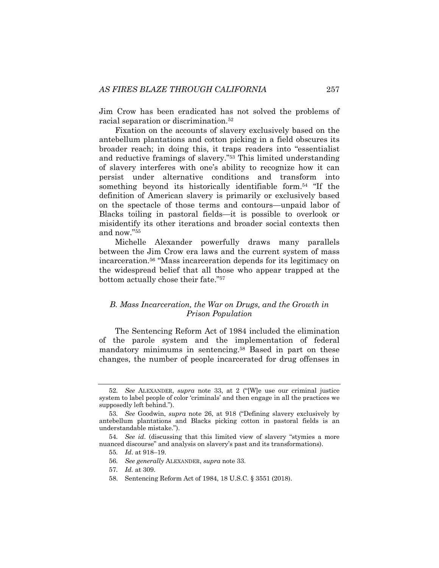Jim Crow has been eradicated has not solved the problems of racial separation or discrimination.52

Fixation on the accounts of slavery exclusively based on the antebellum plantations and cotton picking in a field obscures its broader reach; in doing this, it traps readers into "essentialist and reductive framings of slavery."53 This limited understanding of slavery interferes with one's ability to recognize how it can persist under alternative conditions and transform into something beyond its historically identifiable form.<sup>54</sup> "If the definition of American slavery is primarily or exclusively based on the spectacle of those terms and contours—unpaid labor of Blacks toiling in pastoral fields—it is possible to overlook or misidentify its other iterations and broader social contexts then and now."55

Michelle Alexander powerfully draws many parallels between the Jim Crow era laws and the current system of mass incarceration.56 "Mass incarceration depends for its legitimacy on the widespread belief that all those who appear trapped at the bottom actually chose their fate."57

## *B. Mass Incarceration, the War on Drugs, and the Growth in Prison Population*

The Sentencing Reform Act of 1984 included the elimination of the parole system and the implementation of federal mandatory minimums in sentencing. <sup>58</sup> Based in part on these changes, the number of people incarcerated for drug offenses in

- 56*. See generally* ALEXANDER, *supra* note 33.
- 57*. Id.* at 309.
- 58. Sentencing Reform Act of 1984, 18 U.S.C. § 3551 (2018).

<sup>52</sup>*. See* ALEXANDER, *supra* note 33, at 2 ("[W]e use our criminal justice system to label people of color 'criminals' and then engage in all the practices we supposedly left behind.").

<sup>53</sup>*. See* Goodwin, *supra* note 26, at 918 ("Defining slavery exclusively by antebellum plantations and Blacks picking cotton in pastoral fields is an understandable mistake.").

<sup>54</sup>*. See id*. (discussing that this limited view of slavery "stymies a more nuanced discourse" and analysis on slavery's past and its transformations).

<sup>55</sup>*. Id*. at 918–19.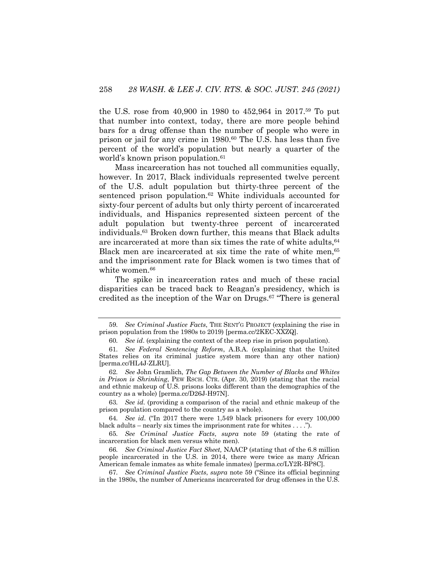the U.S. rose from 40,900 in 1980 to 452,964 in 2017.59 To put that number into context, today, there are more people behind bars for a drug offense than the number of people who were in prison or jail for any crime in 1980.60 The U.S. has less than five percent of the world's population but nearly a quarter of the world's known prison population.<sup>61</sup>

Mass incarceration has not touched all communities equally, however. In 2017, Black individuals represented twelve percent of the U.S. adult population but thirty-three percent of the sentenced prison population.<sup>62</sup> White individuals accounted for sixty-four percent of adults but only thirty percent of incarcerated individuals, and Hispanics represented sixteen percent of the adult population but twenty-three percent of incarcerated individuals.63 Broken down further, this means that Black adults are incarcerated at more than six times the rate of white adults, <sup>64</sup> Black men are incarcerated at six time the rate of white men,<sup>65</sup> and the imprisonment rate for Black women is two times that of white women.<sup>66</sup>

The spike in incarceration rates and much of these racial disparities can be traced back to Reagan's presidency, which is credited as the inception of the War on Drugs. $67$  "There is general

63*. See id*. (providing a comparison of the racial and ethnic makeup of the prison population compared to the country as a whole).

64*. See id*. ("In 2017 there were 1,549 black prisoners for every 100,000 black adults – nearly six times the imprisonment rate for whites . . . .").

65*. See Criminal Justice Facts*, *supra* note 59 (stating the rate of incarceration for black men versus white men).

<sup>59</sup>*. See Criminal Justice Facts*, THE SENT'G PROJECT (explaining the rise in prison population from the 1980s to 2019) [perma.cc/2KEC-XXZQ].

<sup>60</sup>*. See id*. (explaining the context of the steep rise in prison population).

<sup>61</sup>*. See Federal Sentencing Reform*, A.B.A. (explaining that the United States relies on its criminal justice system more than any other nation) [perma.cc/HL4J-ZLRU].

<sup>62</sup>*. See* John Gramlich, *The Gap Between the Number of Blacks and Whites in Prison is Shrinking*, PEW RSCH. CTR. (Apr. 30, 2019) (stating that the racial and ethnic makeup of U.S. prisons looks different than the demographics of the country as a whole) [perma.cc/D26J-H97N].

<sup>66</sup>*. See Criminal Justice Fact Sheet,* NAACP (stating that of the 6.8 million people incarcerated in the U.S. in 2014, there were twice as many African American female inmates as white female inmates) [perma.cc/LY2R-BP8C].

<sup>67</sup>*. See Criminal Justice Facts*, *supra* note 59 ("Since its official beginning in the 1980s, the number of Americans incarcerated for drug offenses in the U.S.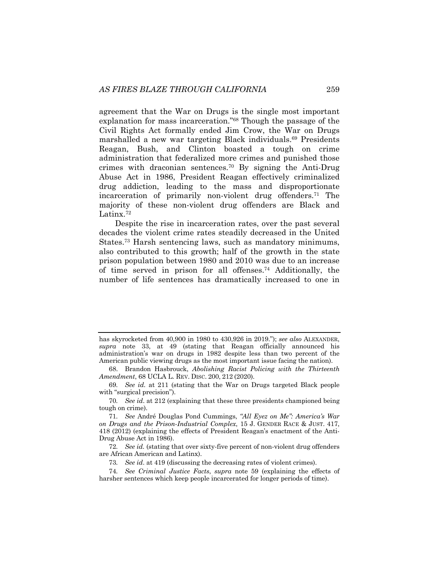agreement that the War on Drugs is the single most important explanation for mass incarceration."68 Though the passage of the Civil Rights Act formally ended Jim Crow, the War on Drugs marshalled a new war targeting Black individuals.<sup>69</sup> Presidents Reagan, Bush, and Clinton boasted a tough on crime administration that federalized more crimes and punished those crimes with draconian sentences.70 By signing the Anti-Drug Abuse Act in 1986, President Reagan effectively criminalized drug addiction, leading to the mass and disproportionate incarceration of primarily non-violent drug offenders.<sup>71</sup> The majority of these non-violent drug offenders are Black and Latinx.72

Despite the rise in incarceration rates, over the past several decades the violent crime rates steadily decreased in the United States.73 Harsh sentencing laws, such as mandatory minimums, also contributed to this growth; half of the growth in the state prison population between 1980 and 2010 was due to an increase of time served in prison for all offenses.74 Additionally, the number of life sentences has dramatically increased to one in

73*. See id*. at 419 (discussing the decreasing rates of violent crimes).

has skyrocketed from 40,900 in 1980 to 430,926 in 2019."); *see also* ALEXANDER, *supra* note 33, at 49 (stating that Reagan officially announced his administration's war on drugs in 1982 despite less than two percent of the American public viewing drugs as the most important issue facing the nation).

<sup>68.</sup> Brandon Hasbrouck, *Abolishing Racist Policing with the Thirteenth Amendment*, 68 UCLA L. REV. DISC. 200, 212 (2020).

<sup>69</sup>*. See id.* at 211 (stating that the War on Drugs targeted Black people with "surgical precision").

<sup>70</sup>*. See id*. at 212 (explaining that these three presidents championed being tough on crime).

<sup>71</sup>*. See* André Douglas Pond Cummings, *"All Eyez on Me": America's War on Drugs and the Prison-Industrial Complex*, 15 J. GENDER RACE & JUST. 417, 418 (2012) (explaining the effects of President Reagan's enactment of the Anti-Drug Abuse Act in 1986).

<sup>72</sup>*. See id.* (stating that over sixty-five percent of non-violent drug offenders are African American and Latinx).

<sup>74</sup>*. See Criminal Justice Facts*, *supra* note 59 (explaining the effects of harsher sentences which keep people incarcerated for longer periods of time).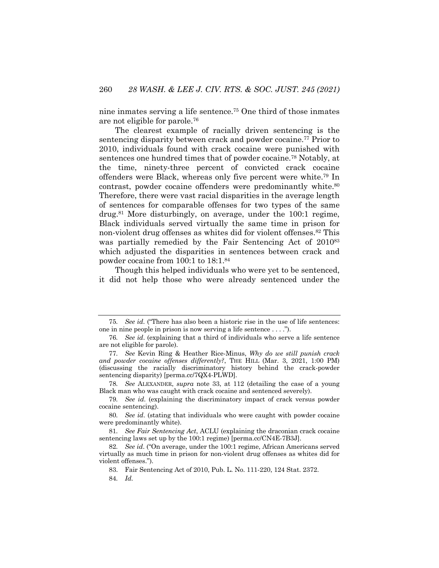nine inmates serving a life sentence.75 One third of those inmates are not eligible for parole.76

The clearest example of racially driven sentencing is the sentencing disparity between crack and powder cocaine.77 Prior to 2010, individuals found with crack cocaine were punished with sentences one hundred times that of powder cocaine.78 Notably, at the time, ninety-three percent of convicted crack cocaine offenders were Black, whereas only five percent were white.79 In contrast, powder cocaine offenders were predominantly white.<sup>80</sup> Therefore, there were vast racial disparities in the average length of sentences for comparable offenses for two types of the same drug.81 More disturbingly, on average, under the 100:1 regime, Black individuals served virtually the same time in prison for non-violent drug offenses as whites did for violent offenses.<sup>82</sup> This was partially remedied by the Fair Sentencing Act of  $2010^{83}$ which adjusted the disparities in sentences between crack and powder cocaine from 100:1 to 18:1.84

Though this helped individuals who were yet to be sentenced, it did not help those who were already sentenced under the

<sup>75</sup>*. See id*. ("There has also been a historic rise in the use of life sentences: one in nine people in prison is now serving a life sentence . . . .").

<sup>76</sup>*. See id*. (explaining that a third of individuals who serve a life sentence are not eligible for parole).

<sup>77</sup>*. See* Kevin Ring & Heather Rice-Minus, *Why do we still punish crack*  and powder cocaine offenses differently?, THE HILL (Mar. 3, 2021, 1:00 PM) (discussing the racially discriminatory history behind the crack-powder sentencing disparity) [perma.cc/7QX4-PLWD].

<sup>78</sup>*. See* ALEXANDER, *supra* note 33, at 112 (detailing the case of a young Black man who was caught with crack cocaine and sentenced severely).

<sup>79</sup>*. See id*. (explaining the discriminatory impact of crack versus powder cocaine sentencing).

<sup>80</sup>*. See id*. (stating that individuals who were caught with powder cocaine were predominantly white).

<sup>81</sup>*. See Fair Sentencing Act*, ACLU (explaining the draconian crack cocaine sentencing laws set up by the 100:1 regime) [perma.cc/CN4E-7B3J].

<sup>82</sup>*. See id*. ("On average, under the 100:1 regime, African Americans served virtually as much time in prison for non-violent drug offenses as whites did for violent offenses.").

<sup>83.</sup> Fair Sentencing Act of 2010, Pub. L. No. 111-220, 124 Stat. 2372.

<sup>84</sup>*. Id.*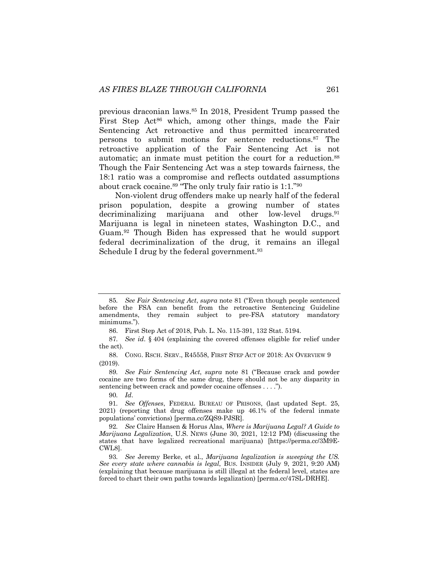previous draconian laws.85 In 2018, President Trump passed the First Step Act<sup>86</sup> which, among other things, made the Fair Sentencing Act retroactive and thus permitted incarcerated persons to submit motions for sentence reductions.<sup>87</sup> The retroactive application of the Fair Sentencing Act is not automatic; an inmate must petition the court for a reduction.88 Though the Fair Sentencing Act was a step towards fairness, the 18:1 ratio was a compromise and reflects outdated assumptions about crack cocaine.<sup>89</sup> "The only truly fair ratio is  $1:1.^{90}$ 

Non-violent drug offenders make up nearly half of the federal prison population, despite a growing number of states decriminalizing marijuana and other low-level drugs.<sup>91</sup> Marijuana is legal in nineteen states, Washington D.C., and Guam.92 Though Biden has expressed that he would support federal decriminalization of the drug, it remains an illegal Schedule I drug by the federal government.<sup>93</sup>

90*. Id*.

<sup>85</sup>*. See Fair Sentencing Act*, *supra* note 81 ("Even though people sentenced before the FSA can benefit from the retroactive Sentencing Guideline amendments, they remain subject to pre-FSA statutory mandatory minimums.").

<sup>86.</sup> First Step Act of 2018, Pub. L. No. 115-391, 132 Stat. 5194.

<sup>87</sup>*. See id*. § 404 (explaining the covered offenses eligible for relief under the act).

<sup>88.</sup> CONG. RSCH. SERV., R45558, FIRST STEP ACT OF 2018: AN OVERVIEW 9 (2019).

<sup>89</sup>*. See Fair Sentencing Act*, *supra* note 81 ("Because crack and powder cocaine are two forms of the same drug, there should not be any disparity in sentencing between crack and powder cocaine offenses . . . .").

<sup>91</sup>*. See Offenses*, FEDERAL BUREAU OF PRISONS, (last updated Sept. 25, 2021) (reporting that drug offenses make up 46.1% of the federal inmate populations' convictions) [perma.cc/ZQS9-PJSR].

<sup>92</sup>*. See* Claire Hansen & Horus Alas, *Where is Marijuana Legal? A Guide to Marijuana Legalization*, U.S. NEWS (June 30, 2021, 12:12 PM) (discussing the states that have legalized recreational marijuana) [https://perma.cc/3M9E-CWL8].

<sup>93</sup>*. See* Jeremy Berke, et al., *Marijuana legalization is sweeping the US. See every state where cannabis is legal*, BUS. INSIDER (July 9, 2021, 9:20 AM) (explaining that because marijuana is still illegal at the federal level, states are forced to chart their own paths towards legalization) [perma.cc/47SL-DRHE].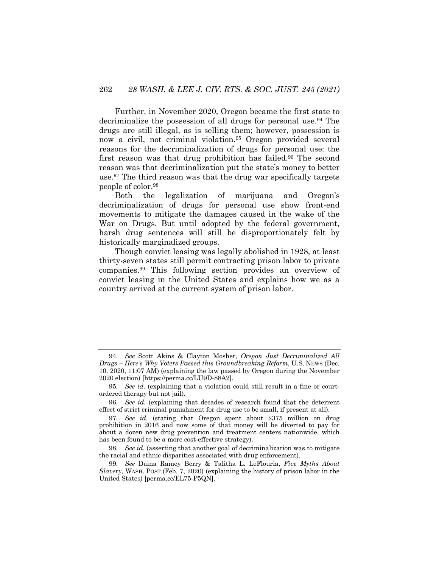Further, in November 2020, Oregon became the first state to decriminalize the possession of all drugs for personal use.<sup>94</sup> The drugs are still illegal, as is selling them; however, possession is now a civil, not criminal violation.95 Oregon provided several reasons for the decriminalization of drugs for personal use: the first reason was that drug prohibition has failed.<sup>96</sup> The second reason was that decriminalization put the state's money to better use.97 The third reason was that the drug war specifically targets people of color.98

Both the legalization of marijuana and Oregon's decriminalization of drugs for personal use show front-end movements to mitigate the damages caused in the wake of the War on Drugs. But until adopted by the federal government, harsh drug sentences will still be disproportionately felt by historically marginalized groups.

Though convict leasing was legally abolished in 1928, at least thirty-seven states still permit contracting prison labor to private companies.99 This following section provides an overview of convict leasing in the United States and explains how we as a country arrived at the current system of prison labor.

<sup>94</sup>*. See* Scott Akins & Clayton Mosher, *Oregon Just Decriminalized All Drugs* – *Here's Why Voters Passed this Groundbreaking Reform*, U.S. NEWS (Dec. 10. 2020, 11:07 AM) (explaining the law passed by Oregon during the November 2020 election) [https://perma.cc/LU9D-88A2].

<sup>95</sup>*. See id*. (explaining that a violation could still result in a fine or courtordered therapy but not jail).

<sup>96</sup>*. See id*. (explaining that decades of research found that the deterrent effect of strict criminal punishment for drug use to be small, if present at all).

<sup>97</sup>*. See id*. (stating that Oregon spent about \$375 million on drug prohibition in 2016 and now some of that money will be diverted to pay for about a dozen new drug prevention and treatment centers nationwide, which has been found to be a more cost-effective strategy).

<sup>98</sup>*. See id*. (asserting that another goal of decriminalization was to mitigate the racial and ethnic disparities associated with drug enforcement).

<sup>99</sup>*. See* Daina Ramey Berry & Talitha L. LeFlouria, *Five Myths About Slavery*, WASH. POST (Feb. 7, 2020) (explaining the history of prison labor in the United States) [perma.cc/EL75-P5QN].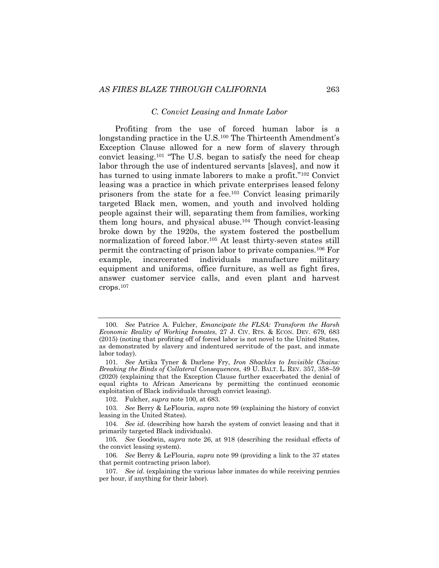#### *C. Convict Leasing and Inmate Labor*

Profiting from the use of forced human labor is a longstanding practice in the U.S.100 The Thirteenth Amendment's Exception Clause allowed for a new form of slavery through convict leasing.101 "The U.S. began to satisfy the need for cheap labor through the use of indentured servants [slaves], and now it has turned to using inmate laborers to make a profit."102 Convict leasing was a practice in which private enterprises leased felony prisoners from the state for a fee.103 Convict leasing primarily targeted Black men, women, and youth and involved holding people against their will, separating them from families, working them long hours, and physical abuse.104 Though convict-leasing broke down by the 1920s, the system fostered the postbellum normalization of forced labor.105 At least thirty-seven states still permit the contracting of prison labor to private companies.106 For example, incarcerated individuals manufacture military equipment and uniforms, office furniture, as well as fight fires, answer customer service calls, and even plant and harvest crops.107

102. Fulcher, *supra* note 100, at 683.

<sup>100</sup>*. See* Patrice A. Fulcher, *Emancipate the FLSA: Transform the Harsh Economic Reality of Working Inmates*, 27 J. CIV. RTS. & ECON. DEV. 679, 683 (2015) (noting that profiting off of forced labor is not novel to the United States, as demonstrated by slavery and indentured servitude of the past, and inmate labor today).

<sup>101</sup>*. See* Artika Tyner & Darlene Fry, *Iron Shackles to Invisible Chains: Breaking the Binds of Collateral Consequences*, 49 U. BALT. L. REV. 357, 358–59 (2020) (explaining that the Exception Clause further exacerbated the denial of equal rights to African Americans by permitting the continued economic exploitation of Black individuals through convict leasing).

<sup>103</sup>*. See* Berry & LeFlouria, *supra* note 99 (explaining the history of convict leasing in the United States).

<sup>104</sup>*. See id*. (describing how harsh the system of convict leasing and that it primarily targeted Black individuals).

<sup>105</sup>*. See* Goodwin, *supra* note 26, at 918 (describing the residual effects of the convict leasing system).

<sup>106</sup>*. See* Berry & LeFlouria, *supra* note 99 (providing a link to the 37 states that permit contracting prison labor).

<sup>107</sup>*. See id*. (explaining the various labor inmates do while receiving pennies per hour, if anything for their labor).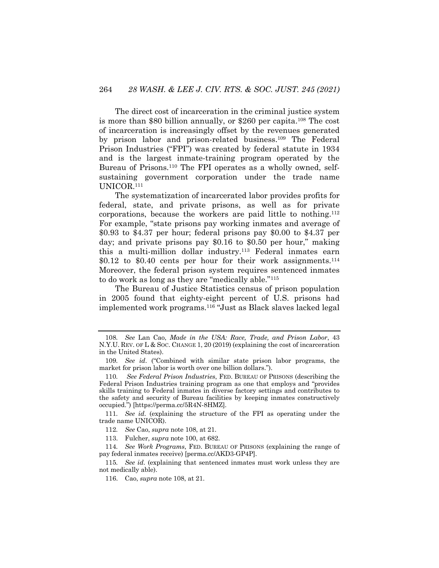The direct cost of incarceration in the criminal justice system is more than \$80 billion annually, or \$260 per capita.108 The cost of incarceration is increasingly offset by the revenues generated by prison labor and prison-related business.109 The Federal Prison Industries ("FPI") was created by federal statute in 1934 and is the largest inmate-training program operated by the Bureau of Prisons.<sup>110</sup> The FPI operates as a wholly owned, selfsustaining government corporation under the trade name UNICOR.111

The systematization of incarcerated labor provides profits for federal, state, and private prisons, as well as for private corporations, because the workers are paid little to nothing.112 For example, "state prisons pay working inmates and average of \$0.93 to \$4.37 per hour; federal prisons pay \$0.00 to \$4.37 per day; and private prisons pay \$0.16 to \$0.50 per hour," making this a multi-million dollar industry.113 Federal inmates earn \$0.12 to \$0.40 cents per hour for their work assignments.114 Moreover, the federal prison system requires sentenced inmates to do work as long as they are "medically able."115

The Bureau of Justice Statistics census of prison population in 2005 found that eighty-eight percent of U.S. prisons had implemented work programs.116 "Just as Black slaves lacked legal

<sup>108</sup>*. See* Lan Cao, *Made in the USA: Race, Trade, and Prison Labor*, 43 N.Y.U. REV. OF L & SOC. CHANGE 1, 20 (2019) (explaining the cost of incarceration in the United States).

<sup>109</sup>*. See id*. ("Combined with similar state prison labor programs, the market for prison labor is worth over one billion dollars.").

<sup>110</sup>*. See Federal Prison Industries*, FED. BUREAU OF PRISONS (describing the Federal Prison Industries training program as one that employs and "provides skills training to Federal inmates in diverse factory settings and contributes to the safety and security of Bureau facilities by keeping inmates constructively occupied.") [https://perma.cc/5R4N-8HMZ].

<sup>111</sup>*. See id*. (explaining the structure of the FPI as operating under the trade name UNICOR).

<sup>112</sup>*. See* Cao, *supra* note 108, at 21.

<sup>113.</sup> Fulcher, *supra* note 100, at 682.

<sup>114</sup>*. See Work Programs*, FED. BUREAU OF PRISONS (explaining the range of pay federal inmates receive) [perma.cc/AKD3-GP4P].

<sup>115</sup>*. See id*. (explaining that sentenced inmates must work unless they are not medically able).

<sup>116.</sup> Cao, *supra* note 108, at 21.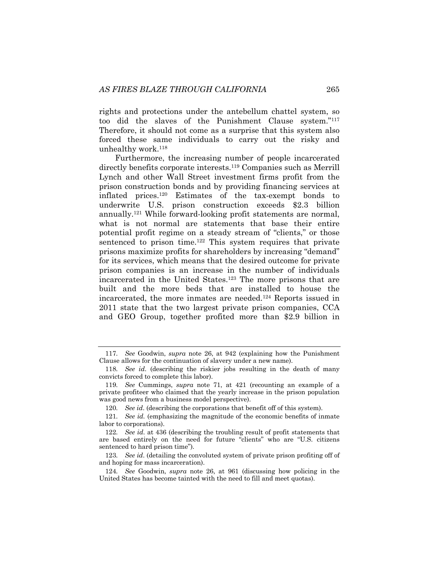rights and protections under the antebellum chattel system, so too did the slaves of the Punishment Clause system."117 Therefore, it should not come as a surprise that this system also forced these same individuals to carry out the risky and unhealthy work.118

Furthermore, the increasing number of people incarcerated directly benefits corporate interests.<sup>119</sup> Companies such as Merrill Lynch and other Wall Street investment firms profit from the prison construction bonds and by providing financing services at inflated prices.120 Estimates of the tax-exempt bonds to underwrite U.S. prison construction exceeds \$2.3 billion annually.121 While forward-looking profit statements are normal, what is not normal are statements that base their entire potential profit regime on a steady stream of "clients," or those sentenced to prison time.<sup>122</sup> This system requires that private prisons maximize profits for shareholders by increasing "demand" for its services, which means that the desired outcome for private prison companies is an increase in the number of individuals incarcerated in the United States.123 The more prisons that are built and the more beds that are installed to house the incarcerated, the more inmates are needed.124 Reports issued in 2011 state that the two largest private prison companies, CCA and GEO Group, together profited more than \$2.9 billion in

<sup>117</sup>*. See* Goodwin, *supra* note 26, at 942 (explaining how the Punishment Clause allows for the continuation of slavery under a new name).

<sup>118</sup>*. See id*. (describing the riskier jobs resulting in the death of many convicts forced to complete this labor).

<sup>119</sup>*. See* Cummings, *supra* note 71, at 421 (recounting an example of a private profiteer who claimed that the yearly increase in the prison population was good news from a business model perspective).

<sup>120</sup>*. See id*. (describing the corporations that benefit off of this system).

<sup>121</sup>*. See id.* (emphasizing the magnitude of the economic benefits of inmate labor to corporations).

<sup>122</sup>*. See id*. at 436 (describing the troubling result of profit statements that are based entirely on the need for future "clients" who are "U.S. citizens sentenced to hard prison time").

<sup>123</sup>*. See id*. (detailing the convoluted system of private prison profiting off of and hoping for mass incarceration).

<sup>124</sup>*. See* Goodwin, *supra* note 26, at 961 (discussing how policing in the United States has become tainted with the need to fill and meet quotas).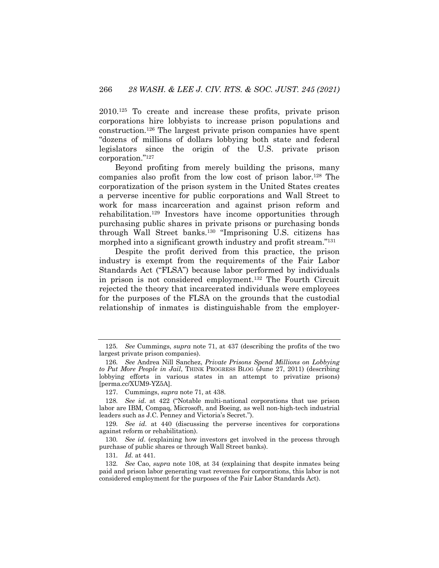2010.125 To create and increase these profits, private prison corporations hire lobbyists to increase prison populations and construction.126 The largest private prison companies have spent "dozens of millions of dollars lobbying both state and federal legislators since the origin of the U.S. private prison corporation."127

Beyond profiting from merely building the prisons, many companies also profit from the low cost of prison labor.128 The corporatization of the prison system in the United States creates a perverse incentive for public corporations and Wall Street to work for mass incarceration and against prison reform and rehabilitation.129 Investors have income opportunities through purchasing public shares in private prisons or purchasing bonds through Wall Street banks.130 "Imprisoning U.S. citizens has morphed into a significant growth industry and profit stream."131

Despite the profit derived from this practice, the prison industry is exempt from the requirements of the Fair Labor Standards Act ("FLSA") because labor performed by individuals in prison is not considered employment.132 The Fourth Circuit rejected the theory that incarcerated individuals were employees for the purposes of the FLSA on the grounds that the custodial relationship of inmates is distinguishable from the employer-

<sup>125</sup>*. See* Cummings, *supra* note 71, at 437 (describing the profits of the two largest private prison companies).

<sup>126</sup>*. See* Andrea Nill Sanchez, *Private Prisons Spend Millions on Lobbying to Put More People in Jail*, THINK PROGRESS BLOG (June 27, 2011) (describing lobbying efforts in various states in an attempt to privatize prisons) [perma.cc/XUM9-YZ5A].

<sup>127.</sup> Cummings, *supra* note 71, at 438.

<sup>128</sup>*. See id*. at 422 ("Notable multi-national corporations that use prison labor are IBM, Compaq, Microsoft, and Boeing, as well non-high-tech industrial leaders such as J.C. Penney and Victoria's Secret.").

<sup>129</sup>*. See id*. at 440 (discussing the perverse incentives for corporations against reform or rehabilitation).

<sup>130</sup>*. See id*. (explaining how investors get involved in the process through purchase of public shares or through Wall Street banks).

<sup>131</sup>*. Id.* at 441.

<sup>132</sup>*. See* Cao, *supra* note 108, at 34 (explaining that despite inmates being paid and prison labor generating vast revenues for corporations, this labor is not considered employment for the purposes of the Fair Labor Standards Act).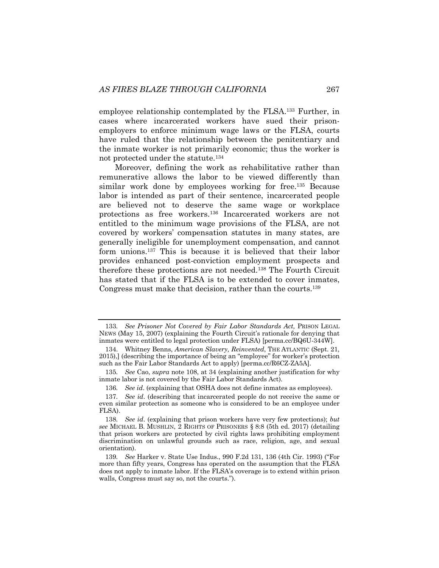employee relationship contemplated by the FLSA.133 Further, in cases where incarcerated workers have sued their prisonemployers to enforce minimum wage laws or the FLSA, courts have ruled that the relationship between the penitentiary and the inmate worker is not primarily economic; thus the worker is not protected under the statute.134

Moreover, defining the work as rehabilitative rather than remunerative allows the labor to be viewed differently than similar work done by employees working for free.<sup>135</sup> Because labor is intended as part of their sentence, incarcerated people are believed not to deserve the same wage or workplace protections as free workers.136 Incarcerated workers are not entitled to the minimum wage provisions of the FLSA, are not covered by workers' compensation statutes in many states, are generally ineligible for unemployment compensation, and cannot form unions.137 This is because it is believed that their labor provides enhanced post-conviction employment prospects and therefore these protections are not needed.138 The Fourth Circuit has stated that if the FLSA is to be extended to cover inmates, Congress must make that decision, rather than the courts.139

<sup>133</sup>*. See Prisoner Not Covered by Fair Labor Standards Act,* PRISON LEGAL NEWS (May 15, 2007) (explaining the Fourth Circuit's rationale for denying that inmates were entitled to legal protection under FLSA) [perma.cc/BQ6U-344W].

<sup>134.</sup> Whitney Benns, *American Slavery, Reinvented*, THE ATLANTIC (Sept. 21, 2015),] (describing the importance of being an "employee" for worker's protection such as the Fair Labor Standards Act to apply) [perma.cc/R6CZ-ZA5A].

<sup>135</sup>*. See* Cao, *supra* note 108, at 34 (explaining another justification for why inmate labor is not covered by the Fair Labor Standards Act).

<sup>136</sup>*. See id*. (explaining that OSHA does not define inmates as employees).

<sup>137</sup>*. See id*. (describing that incarcerated people do not receive the same or even similar protection as someone who is considered to be an employee under FLSA).

<sup>138</sup>*. See id*. (explaining that prison workers have very few protections); *but see* MICHAEL B. MUSHLIN, 2 RIGHTS OF PRISONERS § 8:8 (5th ed. 2017) (detailing that prison workers are protected by civil rights laws prohibiting employment discrimination on unlawful grounds such as race, religion, age, and sexual orientation).

<sup>139</sup>*. See* Harker v. State Use Indus., 990 F.2d 131, 136 (4th Cir. 1993) ("For more than fifty years, Congress has operated on the assumption that the FLSA does not apply to inmate labor. If the FLSA's coverage is to extend within prison walls, Congress must say so, not the courts.").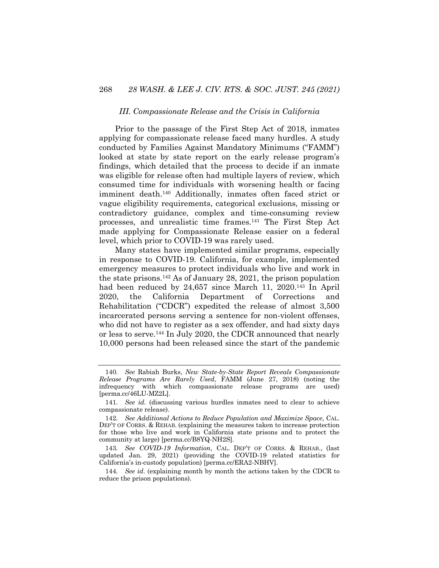#### *III. Compassionate Release and the Crisis in California*

Prior to the passage of the First Step Act of 2018, inmates applying for compassionate release faced many hurdles. A study conducted by Families Against Mandatory Minimums ("FAMM") looked at state by state report on the early release program's findings, which detailed that the process to decide if an inmate was eligible for release often had multiple layers of review, which consumed time for individuals with worsening health or facing imminent death.140 Additionally, inmates often faced strict or vague eligibility requirements, categorical exclusions, missing or contradictory guidance, complex and time-consuming review processes, and unrealistic time frames.141 The First Step Act made applying for Compassionate Release easier on a federal level, which prior to COVID-19 was rarely used.

Many states have implemented similar programs, especially in response to COVID-19. California, for example, implemented emergency measures to protect individuals who live and work in the state prisons.142 As of January 28, 2021, the prison population had been reduced by 24,657 since March 11, 2020.<sup>143</sup> In April 2020, the California Department of Corrections and Rehabilitation ("CDCR") expedited the release of almost 3,500 incarcerated persons serving a sentence for non-violent offenses, who did not have to register as a sex offender, and had sixty days or less to serve.144 In July 2020, the CDCR announced that nearly 10,000 persons had been released since the start of the pandemic

<sup>140</sup>*. See* Rabiah Burks, *New State-by-State Report Reveals Compassionate Release Programs Are Rarely Used*, FAMM (June 27, 2018) (noting the infrequency with which compassionate release programs are used) [perma.cc/46LU-MZ2L].

<sup>141</sup>*. See id.* (discussing various hurdles inmates need to clear to achieve compassionate release).

<sup>142</sup>*. See Additional Actions to Reduce Population and Maximize Space*, CAL. DEP'T OF CORRS. & REHAB. (explaining the measures taken to increase protection for those who live and work in California state prisons and to protect the community at large) [perma.cc/B8YQ-NH2S].

<sup>143</sup>*. See COVID-19 Information*, CAL. DEP'T OF CORRS. & REHAB., (last updated Jan. 29, 2021) (providing the COVID-19 related statistics for California's in-custody population) [perma.cc/ERA2-NBHV].

<sup>144</sup>*. See id*. (explaining month by month the actions taken by the CDCR to reduce the prison populations).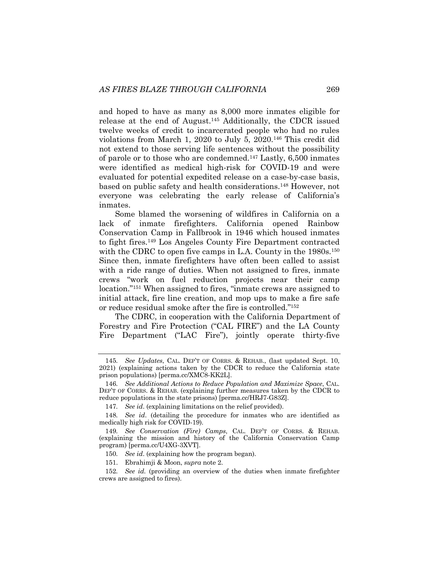and hoped to have as many as 8,000 more inmates eligible for release at the end of August.145 Additionally, the CDCR issued twelve weeks of credit to incarcerated people who had no rules violations from March 1, 2020 to July 5, 2020.146 This credit did not extend to those serving life sentences without the possibility of parole or to those who are condemned.147 Lastly, 6,500 inmates were identified as medical high-risk for COVID-19 and were evaluated for potential expedited release on a case-by-case basis, based on public safety and health considerations.148 However, not everyone was celebrating the early release of California's inmates.

Some blamed the worsening of wildfires in California on a lack of inmate firefighters. California opened Rainbow Conservation Camp in Fallbrook in 1946 which housed inmates to fight fires.149 Los Angeles County Fire Department contracted with the CDRC to open five camps in L.A. County in the 1980s.<sup>150</sup> Since then, inmate firefighters have often been called to assist with a ride range of duties. When not assigned to fires, inmate crews "work on fuel reduction projects near their camp location."151 When assigned to fires, "inmate crews are assigned to initial attack, fire line creation, and mop ups to make a fire safe or reduce residual smoke after the fire is controlled."152

The CDRC, in cooperation with the California Department of Forestry and Fire Protection ("CAL FIRE") and the LA County Fire Department ("LAC Fire"), jointly operate thirty-five

<sup>145</sup>*. See Updates*, CAL. DEP'T OF CORRS. & REHAB., (last updated Sept. 10, 2021) (explaining actions taken by the CDCR to reduce the California state prison populations) [perma.cc/XMC8-KK2L].

<sup>146</sup>*. See Additional Actions to Reduce Population and Maximize Space*, CAL. DEP'T OF CORRS. & REHAB. (explaining further measures taken by the CDCR to reduce populations in the state prisons) [perma.cc/HRJ7-G83Z].

<sup>147</sup>*. See id*. (explaining limitations on the relief provided).

<sup>148</sup>*. See id*. (detailing the procedure for inmates who are identified as medically high risk for COVID-19).

<sup>149</sup>*. See Conservation (Fire) Camps*, CAL. DEP'T OF CORRS. & REHAB. (explaining the mission and history of the California Conservation Camp program) [perma.cc/U4XG-3XVT].

<sup>150</sup>*. See id*. (explaining how the program began).

<sup>151.</sup> Ebrahimji & Moon, *supra* note 2.

<sup>152</sup>*. See id.* (providing an overview of the duties when inmate firefighter crews are assigned to fires).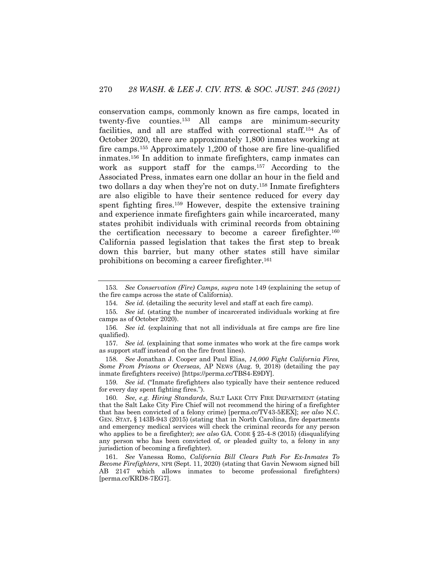conservation camps, commonly known as fire camps, located in twenty-five counties.153 All camps are minimum-security facilities, and all are staffed with correctional staff.154 As of October 2020, there are approximately 1,800 inmates working at fire camps.155 Approximately 1,200 of those are fire line-qualified inmates.156 In addition to inmate firefighters, camp inmates can work as support staff for the camps.157 According to the Associated Press, inmates earn one dollar an hour in the field and two dollars a day when they're not on duty.158 Inmate firefighters are also eligible to have their sentence reduced for every day spent fighting fires.159 However, despite the extensive training and experience inmate firefighters gain while incarcerated, many states prohibit individuals with criminal records from obtaining the certification necessary to become a career firefighter.<sup>160</sup> California passed legislation that takes the first step to break down this barrier, but many other states still have similar prohibitions on becoming a career firefighter.161

158*. See* Jonathan J. Cooper and Paul Elias, *14,000 Fight California Fires, Some From Prisons or Overseas*, AP NEWS (Aug. 9, 2018) (detailing the pay inmate firefighters receive) [https://perma.cc/TBS4-E9DY].

159*. See id.* ("Inmate firefighters also typically have their sentence reduced for every day spent fighting fires.").

160*. See, e.g. Hiring Standards*, SALT LAKE CITY FIRE DEPARTMENT (stating that the Salt Lake City Fire Chief will not recommend the hiring of a firefighter that has been convicted of a felony crime) [perma.cc/TV43-5EEX]; *see also* N.C. GEN. STAT**.** § 143B-943 (2015) (stating that in North Carolina, fire departments and emergency medical services will check the criminal records for any person who applies to be a firefighter); *see also* GA. CODE § 25-4-8 (2015) (disqualifying any person who has been convicted of, or pleaded guilty to, a felony in any jurisdiction of becoming a firefighter).

161*. See* Vanessa Romo, *California Bill Clears Path For Ex-Inmates To Become Firefighters*, NPR (Sept. 11, 2020) (stating that Gavin Newsom signed bill AB 2147 which allows inmates to become professional firefighters) [perma.cc/KRD8-7EG7].

<sup>153</sup>*. See Conservation (Fire) Camps*, *supra* note 149 (explaining the setup of the fire camps across the state of California).

<sup>154</sup>*. See id.* (detailing the security level and staff at each fire camp).

<sup>155</sup>*. See id.* (stating the number of incarcerated individuals working at fire camps as of October 2020).

<sup>156</sup>*. See id.* (explaining that not all individuals at fire camps are fire line qualified).

<sup>157</sup>*. See id.* (explaining that some inmates who work at the fire camps work as support staff instead of on the fire front lines).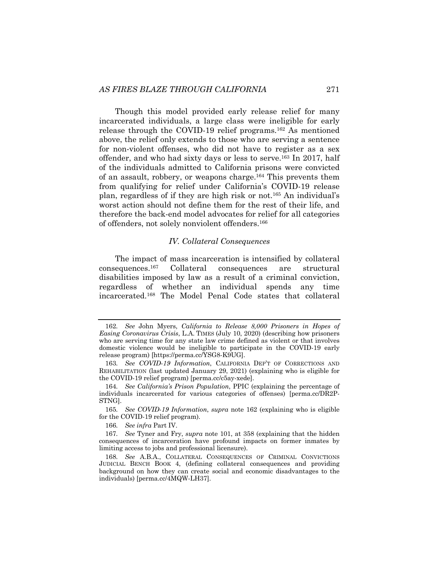Though this model provided early release relief for many incarcerated individuals, a large class were ineligible for early release through the COVID-19 relief programs.162 As mentioned above, the relief only extends to those who are serving a sentence for non-violent offenses, who did not have to register as a sex offender, and who had sixty days or less to serve.163 In 2017, half of the individuals admitted to California prisons were convicted of an assault, robbery, or weapons charge.164 This prevents them from qualifying for relief under California's COVID-19 release plan, regardless of if they are high risk or not.165 An individual's worst action should not define them for the rest of their life, and therefore the back-end model advocates for relief for all categories of offenders, not solely nonviolent offenders.166

#### *IV. Collateral Consequences*

The impact of mass incarceration is intensified by collateral consequences.167 Collateral consequences are structural disabilities imposed by law as a result of a criminal conviction, regardless of whether an individual spends any time incarcerated.168 The Model Penal Code states that collateral

<sup>162</sup>*. See* John Myers, *California to Release 8,000 Prisoners in Hopes of Easing Coronavirus Crisis*, L.A. TIMES (July 10, 2020) (describing how prisoners who are serving time for any state law crime defined as violent or that involves domestic violence would be ineligible to participate in the COVID-19 early release program) [https://perma.cc/YSG8-K9UG].

<sup>163</sup>*. See COVID-19 Information*, CALIFORNIA DEP'T OF CORRECTIONS AND REHABILITATION (last updated January 29, 2021) (explaining who is eligible for the COVID-19 relief program) [perma.cc/c5ay-xede].

<sup>164</sup>*. See California's Prison Population*, PPIC (explaining the percentage of individuals incarcerated for various categories of offenses) [perma.cc/DR2P-STNG].

<sup>165</sup>*. See COVID-19 Information*, *supra* note 162 (explaining who is eligible for the COVID-19 relief program).

<sup>166</sup>*. See infra* Part IV.

<sup>167</sup>*. See* Tyner and Fry, *supra* note 101, at 358 (explaining that the hidden consequences of incarceration have profound impacts on former inmates by limiting access to jobs and professional licensure).

<sup>168</sup>*. See* A.B.A., COLLATERAL CONSEQUENCES OF CRIMINAL CONVICTIONS JUDICIAL BENCH BOOK 4, (defining collateral consequences and providing background on how they can create social and economic disadvantages to the individuals) [perma.cc/4MQW-LH37].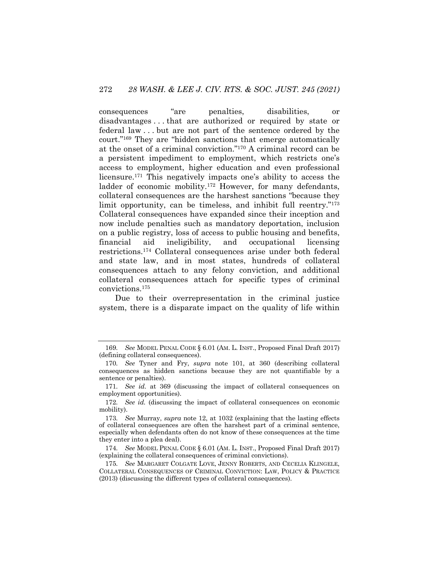consequences "are penalties, disabilities, or disadvantages . . . that are authorized or required by state or federal law . . . but are not part of the sentence ordered by the court."169 They are "hidden sanctions that emerge automatically at the onset of a criminal conviction."170 A criminal record can be a persistent impediment to employment, which restricts one's access to employment, higher education and even professional licensure.171 This negatively impacts one's ability to access the ladder of economic mobility.<sup>172</sup> However, for many defendants, collateral consequences are the harshest sanctions "because they limit opportunity, can be timeless, and inhibit full reentry."173 Collateral consequences have expanded since their inception and now include penalties such as mandatory deportation, inclusion on a public registry, loss of access to public housing and benefits, financial aid ineligibility, and occupational licensing restrictions.174 Collateral consequences arise under both federal and state law, and in most states, hundreds of collateral consequences attach to any felony conviction, and additional collateral consequences attach for specific types of criminal convictions.175

Due to their overrepresentation in the criminal justice system, there is a disparate impact on the quality of life within

<sup>169</sup>*. See* MODEL PENAL CODE § 6.01 (AM. L. INST., Proposed Final Draft 2017) (defining collateral consequences).

<sup>170</sup>*. See* Tyner and Fry, *supra* note 101, at 360 (describing collateral consequences as hidden sanctions because they are not quantifiable by a sentence or penalties).

<sup>171</sup>*. See id.* at 369 (discussing the impact of collateral consequences on employment opportunities).

<sup>172</sup>*. See id.* (discussing the impact of collateral consequences on economic mobility).

<sup>173</sup>*. See* Murray, *supra* note 12, at 1032 (explaining that the lasting effects of collateral consequences are often the harshest part of a criminal sentence, especially when defendants often do not know of these consequences at the time they enter into a plea deal).

<sup>174</sup>*. See* MODEL PENAL CODE § 6.01 (AM. L. INST., Proposed Final Draft 2017) (explaining the collateral consequences of criminal convictions).

<sup>175</sup>*. See* MARGARET COLGATE LOVE, JENNY ROBERTS, AND CECELIA KLINGELE, COLLATERAL CONSEQUENCES OF CRIMINAL CONVICTION: LAW, POLICY & PRACTICE (2013) (discussing the different types of collateral consequences).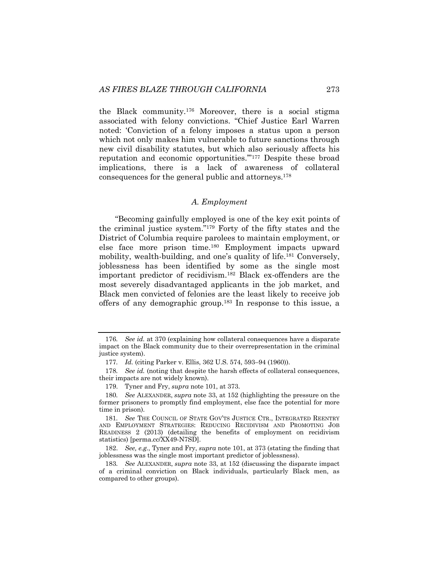the Black community.176 Moreover, there is a social stigma associated with felony convictions. "Chief Justice Earl Warren noted: 'Conviction of a felony imposes a status upon a person which not only makes him vulnerable to future sanctions through new civil disability statutes, but which also seriously affects his reputation and economic opportunities.'"177 Despite these broad implications, there is a lack of awareness of collateral consequences for the general public and attorneys. 178

#### *A. Employment*

"Becoming gainfully employed is one of the key exit points of the criminal justice system."179 Forty of the fifty states and the District of Columbia require parolees to maintain employment, or else face more prison time.180 Employment impacts upward mobility, wealth-building, and one's quality of life.181 Conversely, joblessness has been identified by some as the single most important predictor of recidivism.182 Black ex-offenders are the most severely disadvantaged applicants in the job market, and Black men convicted of felonies are the least likely to receive job offers of any demographic group.183 In response to this issue, a

<sup>176</sup>*. See id.* at 370 (explaining how collateral consequences have a disparate impact on the Black community due to their overrepresentation in the criminal justice system).

<sup>177</sup>*. Id.* (citing Parker v. Ellis, 362 U.S. 574, 593–94 (1960)).

<sup>178</sup>*. See id.* (noting that despite the harsh effects of collateral consequences, their impacts are not widely known).

<sup>179.</sup> Tyner and Fry, *supra* note 101, at 373.

<sup>180</sup>*. See* ALEXANDER, *supra* note 33, at 152 (highlighting the pressure on the former prisoners to promptly find employment, else face the potential for more time in prison).

<sup>181</sup>*. See* THE COUNCIL OF STATE GOV'TS JUSTICE CTR., INTEGRATED REENTRY AND EMPLOYMENT STRATEGIES: REDUCING RECIDIVISM AND PROMOTING JOB READINESS 2 (2013) (detailing the benefits of employment on recidivism statistics) [perma.cc/XX49-N7SD].

<sup>182.</sup> *See, e.g.*, Tyner and Fry, *supra* note 101, at 373 (stating the finding that joblessness was the single most important predictor of joblessness).

<sup>183</sup>*. See* ALEXANDER, *supra* note 33, at 152 (discussing the disparate impact of a criminal conviction on Black individuals, particularly Black men, as compared to other groups).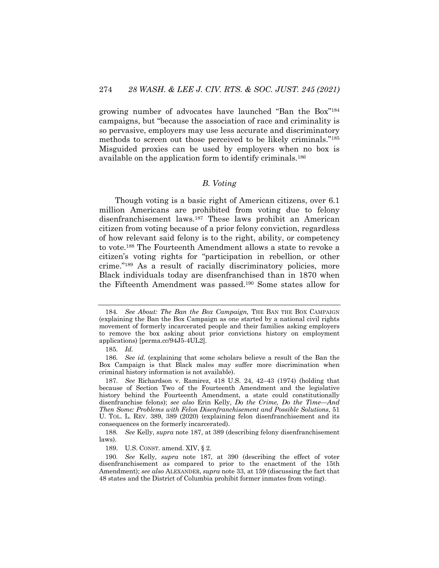growing number of advocates have launched "Ban the Box"184 campaigns, but "because the association of race and criminality is so pervasive, employers may use less accurate and discriminatory methods to screen out those perceived to be likely criminals."185 Misguided proxies can be used by employers when no box is available on the application form to identify criminals.186

#### *B. Voting*

Though voting is a basic right of American citizens, over 6.1 million Americans are prohibited from voting due to felony disenfranchisement laws.187 These laws prohibit an American citizen from voting because of a prior felony conviction, regardless of how relevant said felony is to the right, ability, or competency to vote.188 The Fourteenth Amendment allows a state to revoke a citizen's voting rights for "participation in rebellion, or other crime."189 As a result of racially discriminatory policies, more Black individuals today are disenfranchised than in 1870 when the Fifteenth Amendment was passed.190 Some states allow for

<sup>184</sup>*. See About: The Ban the Box Campaign,* THE BAN THE BOX CAMPAIGN (explaining the Ban the Box Campaign as one started by a national civil rights movement of formerly incarcerated people and their families asking employers to remove the box asking about prior convictions history on employment applications) [perma.cc/94J5-4UL2].

<sup>185</sup>*. Id.*

<sup>186</sup>*. See id.* (explaining that some scholars believe a result of the Ban the Box Campaign is that Black males may suffer more discrimination when criminal history information is not available).

<sup>187</sup>*. See* Richardson v. Ramirez, 418 U.S. 24, 42–43 (1974) (holding that because of Section Two of the Fourteenth Amendment and the legislative history behind the Fourteenth Amendment, a state could constitutionally disenfranchise felons); *see also* Erin Kelly, *Do the Crime, Do the Time—And Then Some: Problems with Felon Disenfranchisement and Possible Solutions*, 51 U. TOL. L. REV. 389, 389 (2020) (explaining felon disenfranchisement and its consequences on the formerly incarcerated).

<sup>188</sup>*. See* Kelly, *supra* note 187, at 389 (describing felony disenfranchisement laws).

<sup>189.</sup> U.S. CONST. amend. XIV, § 2.

<sup>190</sup>*. See* Kelly*, supra* note 187, at 390 (describing the effect of voter disenfranchisement as compared to prior to the enactment of the 15th Amendment); *see also* ALEXANDER, *supra* note 33, at 159 (discussing the fact that 48 states and the District of Columbia prohibit former inmates from voting).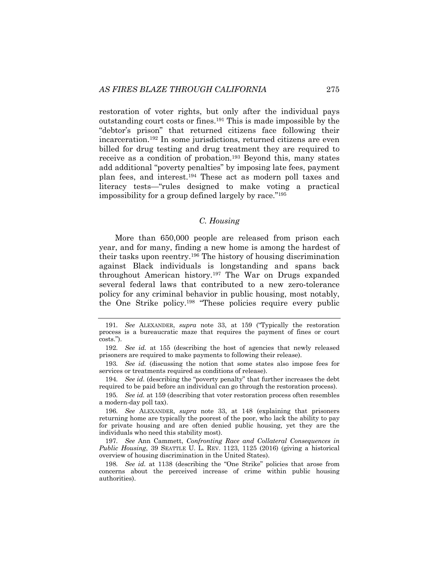restoration of voter rights, but only after the individual pays outstanding court costs or fines.191 This is made impossible by the "debtor's prison" that returned citizens face following their incarceration.192 In some jurisdictions, returned citizens are even billed for drug testing and drug treatment they are required to receive as a condition of probation.193 Beyond this, many states add additional "poverty penalties" by imposing late fees, payment plan fees, and interest.194 These act as modern poll taxes and literacy tests—"rules designed to make voting a practical impossibility for a group defined largely by race."195

## *C. Housing*

More than 650,000 people are released from prison each year, and for many, finding a new home is among the hardest of their tasks upon reentry.196 The history of housing discrimination against Black individuals is longstanding and spans back throughout American history.197 The War on Drugs expanded several federal laws that contributed to a new zero-tolerance policy for any criminal behavior in public housing, most notably, the One Strike policy.198 "These policies require every public

195*. See id.* at 159 (describing that voter restoration process often resembles a modern-day poll tax).

196*. See* ALEXANDER, *supra* note 33, at 148 (explaining that prisoners returning home are typically the poorest of the poor, who lack the ability to pay for private housing and are often denied public housing, yet they are the individuals who need this stability most).

197*. See* Ann Cammett, *Confronting Race and Collateral Consequences in Public Housing*, 39 SEATTLE U. L. REV. 1123, 1125 (2016) (giving a historical overview of housing discrimination in the United States).

198*. See id.* at 1138 (describing the "One Strike" policies that arose from concerns about the perceived increase of crime within public housing authorities).

<sup>191</sup>*. See* ALEXANDER, *supra* note 33, at 159 ("Typically the restoration process is a bureaucratic maze that requires the payment of fines or court costs.").

<sup>192</sup>*. See id.* at 155 (describing the host of agencies that newly released prisoners are required to make payments to following their release).

<sup>193</sup>*. See id.* (discussing the notion that some states also impose fees for services or treatments required as conditions of release).

<sup>194</sup>*. See id.* (describing the "poverty penalty" that further increases the debt required to be paid before an individual can go through the restoration process).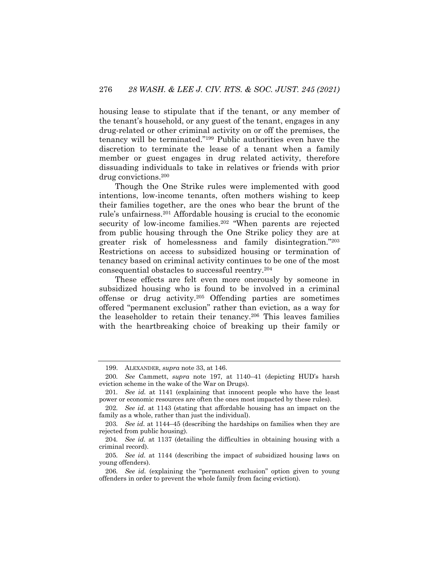housing lease to stipulate that if the tenant, or any member of the tenant's household, or any guest of the tenant, engages in any drug-related or other criminal activity on or off the premises, the tenancy will be terminated."199 Public authorities even have the discretion to terminate the lease of a tenant when a family member or guest engages in drug related activity, therefore dissuading individuals to take in relatives or friends with prior drug convictions.200

Though the One Strike rules were implemented with good intentions, low-income tenants, often mothers wishing to keep their families together, are the ones who bear the brunt of the rule's unfairness.201 Affordable housing is crucial to the economic security of low-income families.<sup>202</sup> "When parents are rejected from public housing through the One Strike policy they are at greater risk of homelessness and family disintegration."203 Restrictions on access to subsidized housing or termination of tenancy based on criminal activity continues to be one of the most consequential obstacles to successful reentry.204

These effects are felt even more onerously by someone in subsidized housing who is found to be involved in a criminal offense or drug activity.205 Offending parties are sometimes offered "permanent exclusion" rather than eviction, as a way for the leaseholder to retain their tenancy.206 This leaves families with the heartbreaking choice of breaking up their family or

<sup>199.</sup> ALEXANDER, *supra* note 33, at 146.

<sup>200</sup>*. See* Cammett, *supra* note 197, at 1140–41 (depicting HUD's harsh eviction scheme in the wake of the War on Drugs).

<sup>201</sup>*. See id.* at 1141 (explaining that innocent people who have the least power or economic resources are often the ones most impacted by these rules).

<sup>202</sup>*. See id*. at 1143 (stating that affordable housing has an impact on the family as a whole, rather than just the individual).

<sup>203</sup>*. See id*. at 1144–45 (describing the hardships on families when they are rejected from public housing).

<sup>204</sup>*. See id.* at 1137 (detailing the difficulties in obtaining housing with a criminal record).

<sup>205</sup>*. See id.* at 1144 (describing the impact of subsidized housing laws on young offenders).

<sup>206</sup>*. See id.* (explaining the "permanent exclusion" option given to young offenders in order to prevent the whole family from facing eviction).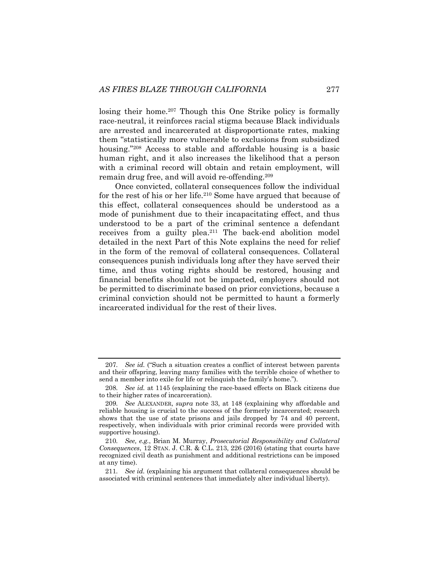losing their home.<sup>207</sup> Though this One Strike policy is formally race-neutral, it reinforces racial stigma because Black individuals are arrested and incarcerated at disproportionate rates, making them "statistically more vulnerable to exclusions from subsidized housing."<sup>208</sup> Access to stable and affordable housing is a basic human right, and it also increases the likelihood that a person with a criminal record will obtain and retain employment, will remain drug free, and will avoid re-offending.209

Once convicted, collateral consequences follow the individual for the rest of his or her life.210 Some have argued that because of this effect, collateral consequences should be understood as a mode of punishment due to their incapacitating effect, and thus understood to be a part of the criminal sentence a defendant receives from a guilty plea.<sup>211</sup> The back-end abolition model detailed in the next Part of this Note explains the need for relief in the form of the removal of collateral consequences. Collateral consequences punish individuals long after they have served their time, and thus voting rights should be restored, housing and financial benefits should not be impacted, employers should not be permitted to discriminate based on prior convictions, because a criminal conviction should not be permitted to haunt a formerly incarcerated individual for the rest of their lives.

<sup>207</sup>*. See id.* ("Such a situation creates a conflict of interest between parents and their offspring, leaving many families with the terrible choice of whether to send a member into exile for life or relinquish the family's home.").

<sup>208</sup>*. See id.* at 1145 (explaining the race-based effects on Black citizens due to their higher rates of incarceration).

<sup>209</sup>*. See* ALEXANDER, *supra* note 33, at 148 (explaining why affordable and reliable housing is crucial to the success of the formerly incarcerated; research shows that the use of state prisons and jails dropped by 74 and 40 percent, respectively, when individuals with prior criminal records were provided with supportive housing).

<sup>210</sup>*. See, e.g.*, Brian M. Murray, *Prosecutorial Responsibility and Collateral Consequences*, 12 STAN. J. C.R. & C.L. 213, 226 (2016) (stating that courts have recognized civil death as punishment and additional restrictions can be imposed at any time).

<sup>211</sup>*. See id.* (explaining his argument that collateral consequences should be associated with criminal sentences that immediately alter individual liberty).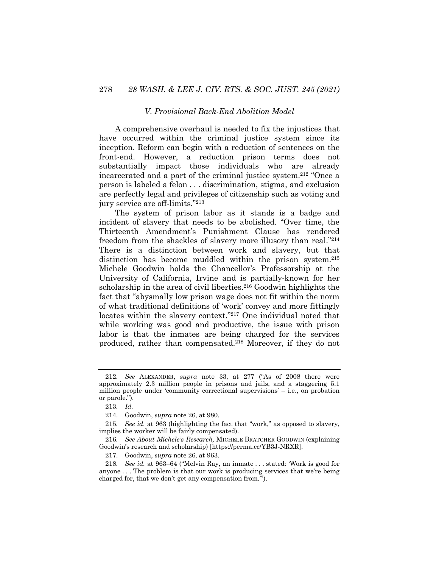#### *V. Provisional Back-End Abolition Model*

A comprehensive overhaul is needed to fix the injustices that have occurred within the criminal justice system since its inception. Reform can begin with a reduction of sentences on the front-end. However, a reduction prison terms does not substantially impact those individuals who are already incarcerated and a part of the criminal justice system.212 "Once a person is labeled a felon . . . discrimination, stigma, and exclusion are perfectly legal and privileges of citizenship such as voting and jury service are off-limits."213

The system of prison labor as it stands is a badge and incident of slavery that needs to be abolished. "Over time, the Thirteenth Amendment's Punishment Clause has rendered freedom from the shackles of slavery more illusory than real."214 There is a distinction between work and slavery, but that distinction has become muddled within the prison system.<sup>215</sup> Michele Goodwin holds the Chancellor's Professorship at the University of California, Irvine and is partially-known for her scholarship in the area of civil liberties.<sup>216</sup> Goodwin highlights the fact that "abysmally low prison wage does not fit within the norm of what traditional definitions of 'work' convey and more fittingly locates within the slavery context."217 One individual noted that while working was good and productive, the issue with prison labor is that the inmates are being charged for the services produced, rather than compensated.218 Moreover, if they do not

<sup>212</sup>*. See* ALEXANDER, *supra* note 33, at 277 ("As of 2008 there were approximately 2.3 million people in prisons and jails, and a staggering 5.1 million people under 'community correctional supervisions' – i.e., on probation or parole.").

<sup>213</sup>*. Id.*

<sup>214.</sup> Goodwin, *supra* note 26, at 980.

<sup>215</sup>*. See id.* at 963 (highlighting the fact that "work," as opposed to slavery, implies the worker will be fairly compensated).

<sup>216</sup>*. See About Michele's Research,* MICHELE BRATCHER GOODWIN (explaining Goodwin's research and scholarship) [https://perma.cc/YB3J-NRXR].

<sup>217.</sup> Goodwin, *supra* note 26, at 963.

<sup>218</sup>*. See id.* at 963–64 ("Melvin Ray, an inmate . . . stated: 'Work is good for anyone . . . The problem is that our work is producing services that we're being charged for, that we don't get any compensation from.'").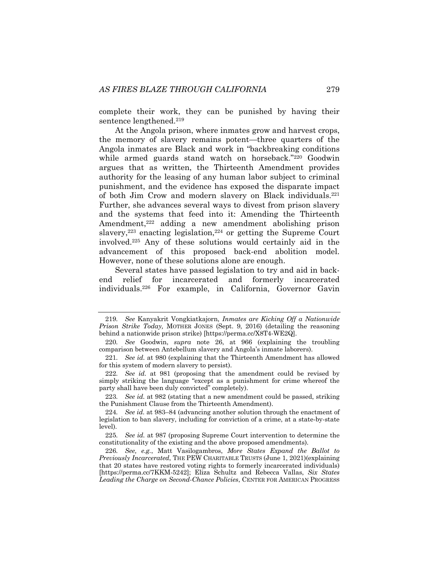complete their work, they can be punished by having their sentence lengthened.<sup>219</sup>

At the Angola prison, where inmates grow and harvest crops, the memory of slavery remains potent—three quarters of the Angola inmates are Black and work in "backbreaking conditions while armed guards stand watch on horseback."220 Goodwin argues that as written, the Thirteenth Amendment provides authority for the leasing of any human labor subject to criminal punishment, and the evidence has exposed the disparate impact of both Jim Crow and modern slavery on Black individuals.221 Further, she advances several ways to divest from prison slavery and the systems that feed into it: Amending the Thirteenth Amendment,<sup>222</sup> adding a new amendment abolishing prison slavery, $223$  enacting legislation, $224$  or getting the Supreme Court involved. <sup>225</sup> Any of these solutions would certainly aid in the advancement of this proposed back-end abolition model. However, none of these solutions alone are enough.

Several states have passed legislation to try and aid in backend relief for incarcerated and formerly incarcerated individuals.226 For example, in California, Governor Gavin

223*. See id.* at 982 (stating that a new amendment could be passed, striking the Punishment Clause from the Thirteenth Amendment).

<sup>219</sup>*. See* Kanyakrit Vongkiatkajorn, *Inmates are Kicking Off a Nationwide Prison Strike Today,* MOTHER JONES (Sept. 9, 2016) (detailing the reasoning behind a nationwide prison strike) [https://perma.cc/X8T4-WE2Q].

<sup>220</sup>*. See* Goodwin, *supra* note 26, at 966 (explaining the troubling comparison between Antebellum slavery and Angola's inmate laborers).

<sup>221</sup>*. See id.* at 980 (explaining that the Thirteenth Amendment has allowed for this system of modern slavery to persist).

<sup>222</sup>*. See id.* at 981 (proposing that the amendment could be revised by simply striking the language "except as a punishment for crime whereof the party shall have been duly convicted" completely).

<sup>224</sup>*. See id.* at 983–84 (advancing another solution through the enactment of legislation to ban slavery, including for conviction of a crime, at a state-by-state level).

<sup>225</sup>*. See id.* at 987 (proposing Supreme Court intervention to determine the constitutionality of the existing and the above proposed amendments).

<sup>226</sup>*. See, e.g.*, Matt Vasilogambros, *More States Expand the Ballot to Previously Incarcerated*, THE PEW CHARITABLE TRUSTS (June 1, 2021)(explaining that 20 states have restored voting rights to formerly incarcerated individuals) [https://perma.cc/7KKM-5242]; Eliza Schultz and Rebecca Vallas, *Six States Leading the Charge on Second-Chance Policies*, CENTER FOR AMERICAN PROGRESS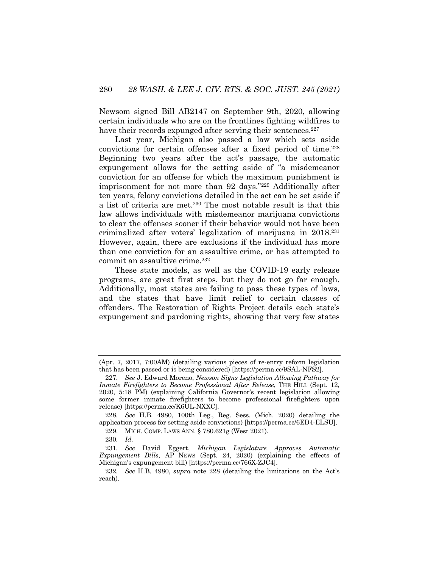Newsom signed Bill AB2147 on September 9th, 2020, allowing certain individuals who are on the frontlines fighting wildfires to have their records expunged after serving their sentences.<sup>227</sup>

Last year, Michigan also passed a law which sets aside convictions for certain offenses after a fixed period of time.228 Beginning two years after the act's passage, the automatic expungement allows for the setting aside of "a misdemeanor conviction for an offense for which the maximum punishment is imprisonment for not more than 92 days."229 Additionally after ten years, felony convictions detailed in the act can be set aside if a list of criteria are met.230 The most notable result is that this law allows individuals with misdemeanor marijuana convictions to clear the offenses sooner if their behavior would not have been criminalized after voters' legalization of marijuana in 2018.231 However, again, there are exclusions if the individual has more than one conviction for an assaultive crime, or has attempted to commit an assaultive crime.<sup>232</sup>

These state models, as well as the COVID-19 early release programs, are great first steps, but they do not go far enough. Additionally, most states are failing to pass these types of laws, and the states that have limit relief to certain classes of offenders. The Restoration of Rights Project details each state's expungement and pardoning rights, showing that very few states

<sup>(</sup>Apr. 7, 2017, 7:00AM) (detailing various pieces of re-entry reform legislation that has been passed or is being considered) [https://perma.cc/9SAL-NFS2].

<sup>227</sup>*. See* J. Edward Moreno, *Newson Signs Legislation Allowing Pathway for Inmate Firefighters to Become Professional After Release*, THE HILL (Sept. 12, 2020, 5:18 PM) (explaining California Governor's recent legislation allowing some former inmate firefighters to become professional firefighters upon release) [https://perma.cc/K6UL-NXXC].

<sup>228</sup>*. See* H.B. 4980, 100th Leg., Reg. Sess. (Mich. 2020) detailing the application process for setting aside convictions) [https://perma.cc/6ED4-ELSU].

<sup>229.</sup> MICH. COMP. LAWS ANN. § 780.621g (West 2021).

<sup>230</sup>*. Id.*

<sup>231</sup>*. See* David Eggert, *Michigan Legislature Approves Automatic Expungement Bills*, AP NEWS (Sept. 24, 2020) (explaining the effects of Michigan's expungement bill) [https://perma.cc/766X-ZJC4].

<sup>232</sup>*. See* H.B. 4980, *supra* note 228 (detailing the limitations on the Act's reach).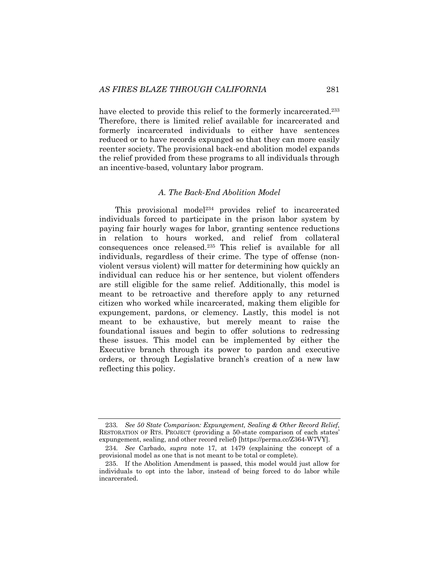have elected to provide this relief to the formerly incarcerated.<sup>233</sup> Therefore, there is limited relief available for incarcerated and formerly incarcerated individuals to either have sentences reduced or to have records expunged so that they can more easily reenter society. The provisional back-end abolition model expands the relief provided from these programs to all individuals through an incentive-based, voluntary labor program.

#### *A. The Back-End Abolition Model*

This provisional model<sup>234</sup> provides relief to incarcerated individuals forced to participate in the prison labor system by paying fair hourly wages for labor, granting sentence reductions in relation to hours worked, and relief from collateral consequences once released.235 This relief is available for all individuals, regardless of their crime. The type of offense (nonviolent versus violent) will matter for determining how quickly an individual can reduce his or her sentence, but violent offenders are still eligible for the same relief. Additionally, this model is meant to be retroactive and therefore apply to any returned citizen who worked while incarcerated, making them eligible for expungement, pardons, or clemency. Lastly, this model is not meant to be exhaustive, but merely meant to raise the foundational issues and begin to offer solutions to redressing these issues. This model can be implemented by either the Executive branch through its power to pardon and executive orders, or through Legislative branch's creation of a new law reflecting this policy.

<sup>233</sup>*. See 50 State Comparison: Expungement, Sealing & Other Record Relief*, RESTORATION OF RTS. PROJECT (providing a 50-state comparison of each states' expungement, sealing, and other record relief) [https://perma.cc/Z364-W7VY].

<sup>234</sup>*. See* Carbado, *supra* note 17, at 1479 (explaining the concept of a provisional model as one that is not meant to be total or complete).

<sup>235.</sup> If the Abolition Amendment is passed, this model would just allow for individuals to opt into the labor, instead of being forced to do labor while incarcerated.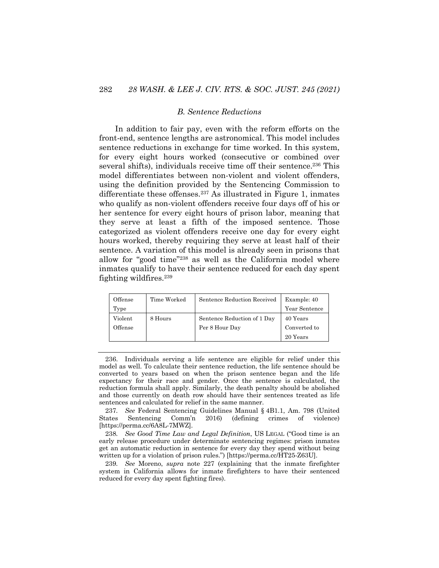### *B. Sentence Reductions*

In addition to fair pay, even with the reform efforts on the front-end, sentence lengths are astronomical. This model includes sentence reductions in exchange for time worked. In this system, for every eight hours worked (consecutive or combined over several shifts), individuals receive time off their sentence.<sup>236</sup> This model differentiates between non-violent and violent offenders, using the definition provided by the Sentencing Commission to differentiate these offenses.<sup>237</sup> As illustrated in Figure 1, inmates who qualify as non-violent offenders receive four days off of his or her sentence for every eight hours of prison labor, meaning that they serve at least a fifth of the imposed sentence. Those categorized as violent offenders receive one day for every eight hours worked, thereby requiring they serve at least half of their sentence. A variation of this model is already seen in prisons that allow for "good time"238 as well as the California model where inmates qualify to have their sentence reduced for each day spent fighting wildfires.239

| Offense | Time Worked | Sentence Reduction Received | Example: 40   |
|---------|-------------|-----------------------------|---------------|
| Type    |             |                             | Year Sentence |
| Violent | 8 Hours     | Sentence Reduction of 1 Day | 40 Years      |
| Offense |             | Per 8 Hour Day              | Converted to  |
|         |             |                             | 20 Years      |

<sup>236.</sup> Individuals serving a life sentence are eligible for relief under this model as well. To calculate their sentence reduction, the life sentence should be converted to years based on when the prison sentence began and the life expectancy for their race and gender. Once the sentence is calculated, the reduction formula shall apply. Similarly, the death penalty should be abolished and those currently on death row should have their sentences treated as life sentences and calculated for relief in the same manner.

237*. See* Federal Sentencing Guidelines Manual § 4B1.1, Am. 798 (United States Sentencing Comm'n 2016) (defining crimes of violence) [https://perma.cc/6A8L-7MWZ].

238*. See Good Time Law and Legal Definition*, US LEGAL ("Good time is an early release procedure under determinate sentencing regimes: prison inmates get an automatic reduction in sentence for every day they spend without being written up for a violation of prison rules.") [https://perma.cc/HT25-Z63U].

239*. See* Moreno, *supra* note 227 (explaining that the inmate firefighter system in California allows for inmate firefighters to have their sentenced reduced for every day spent fighting fires).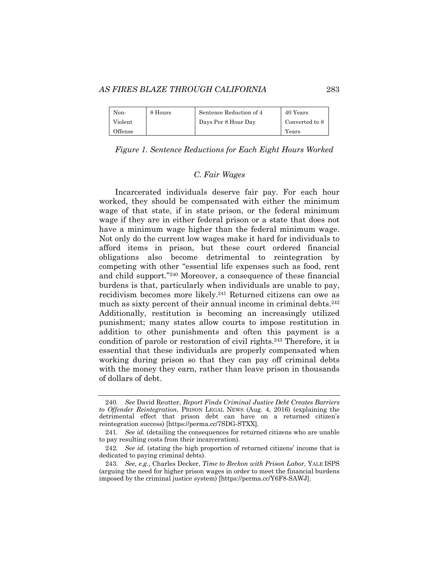#### *AS FIRES BLAZE THROUGH CALIFORNIA* 283

| Non-    | 8 Hours | Sentence Reduction of 4 | 40 Years       |  |
|---------|---------|-------------------------|----------------|--|
| Violent |         | Days Per 8 Hour Day     | Converted to 8 |  |
| Offense |         |                         | Years          |  |

## *Figure 1. Sentence Reductions for Each Eight Hours Worked*

### *C. Fair Wages*

Incarcerated individuals deserve fair pay. For each hour worked, they should be compensated with either the minimum wage of that state, if in state prison, or the federal minimum wage if they are in either federal prison or a state that does not have a minimum wage higher than the federal minimum wage. Not only do the current low wages make it hard for individuals to afford items in prison, but these court ordered financial obligations also become detrimental to reintegration by competing with other "essential life expenses such as food, rent and child support."240 Moreover, a consequence of these financial burdens is that, particularly when individuals are unable to pay, recidivism becomes more likely.241 Returned citizens can owe as much as sixty percent of their annual income in criminal debts.<sup>242</sup> Additionally, restitution is becoming an increasingly utilized punishment; many states allow courts to impose restitution in addition to other punishments and often this payment is a condition of parole or restoration of civil rights.243 Therefore, it is essential that these individuals are properly compensated when working during prison so that they can pay off criminal debts with the money they earn, rather than leave prison in thousands of dollars of debt.

<sup>240</sup>*. See* David Reutter, *Report Finds Criminal Justice Debt Creates Barriers to Offender Reintegration*, PRISON LEGAL NEWS (Aug. 4, 2016) (explaining the detrimental effect that prison debt can have on a returned citizen's reintegration success) [https://perma.cc/7SDG-STXX].

<sup>241</sup>*. See id.* (detailing the consequences for returned citizens who are unable to pay resulting costs from their incarceration).

<sup>242</sup>*. See id.* (stating the high proportion of returned citizens' income that is dedicated to paying criminal debts).

<sup>243</sup>*. See, e.g.*, Charles Decker, *Time to Reckon with Prison Labor*, YALE ISPS (arguing the need for higher prison wages in order to meet the financial burdens imposed by the criminal justice system) [https://perma.cc/Y6F8-SAWJ].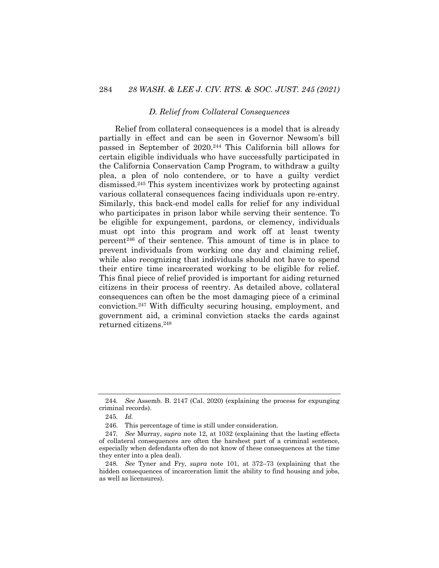#### *D. Relief from Collateral Consequences*

Relief from collateral consequences is a model that is already partially in effect and can be seen in Governor Newsom's bill passed in September of 2020.244 This California bill allows for certain eligible individuals who have successfully participated in the California Conservation Camp Program, to withdraw a guilty plea, a plea of nolo contendere, or to have a guilty verdict dismissed.245 This system incentivizes work by protecting against various collateral consequences facing individuals upon re-entry. Similarly, this back-end model calls for relief for any individual who participates in prison labor while serving their sentence. To be eligible for expungement, pardons, or clemency, individuals must opt into this program and work off at least twenty percent246 of their sentence. This amount of time is in place to prevent individuals from working one day and claiming relief, while also recognizing that individuals should not have to spend their entire time incarcerated working to be eligible for relief. This final piece of relief provided is important for aiding returned citizens in their process of reentry. As detailed above, collateral consequences can often be the most damaging piece of a criminal conviction.247 With difficulty securing housing, employment, and government aid, a criminal conviction stacks the cards against returned citizens.248

<sup>244</sup>*. See* Assemb. B. 2147 (Cal. 2020) (explaining the process for expunging criminal records).

<sup>245</sup>*. Id.*

<sup>246.</sup> This percentage of time is still under consideration.

<sup>247</sup>*. See* Murray, *supra* note 12, at 1032 (explaining that the lasting effects of collateral consequences are often the harshest part of a criminal sentence, especially when defendants often do not know of these consequences at the time they enter into a plea deal).

<sup>248</sup>*. See* Tyner and Fry, *supra* note 101, at 372–73 (explaining that the hidden consequences of incarceration limit the ability to find housing and jobs, as well as licensures).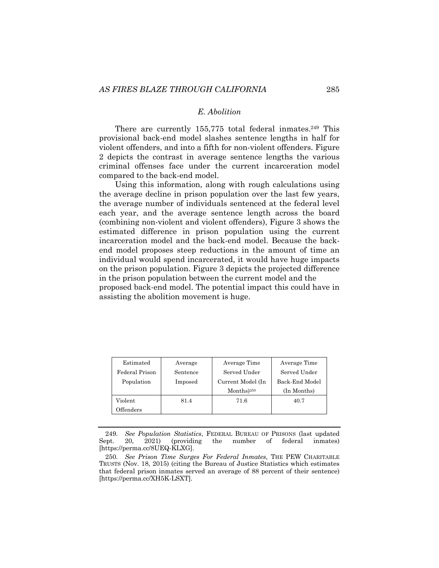## *E. Abolition*

There are currently 155,775 total federal inmates.<sup>249</sup> This provisional back-end model slashes sentence lengths in half for violent offenders, and into a fifth for non-violent offenders. Figure 2 depicts the contrast in average sentence lengths the various criminal offenses face under the current incarceration model compared to the back-end model.

Using this information, along with rough calculations using the average decline in prison population over the last few years, the average number of individuals sentenced at the federal level each year, and the average sentence length across the board (combining non-violent and violent offenders), Figure 3 shows the estimated difference in prison population using the current incarceration model and the back-end model. Because the backend model proposes steep reductions in the amount of time an individual would spend incarcerated, it would have huge impacts on the prison population. Figure 3 depicts the projected difference in the prison population between the current model and the proposed back-end model. The potential impact this could have in assisting the abolition movement is huge.

| Estimated      | Average  | Average Time                     | Average Time   |
|----------------|----------|----------------------------------|----------------|
| Federal Prison | Sentence | Served Under                     | Served Under   |
| Population     | Imposed  | Current Model (In                | Back-End Model |
|                |          | $\text{Months}$ ) <sup>250</sup> | (In Months)    |
| Violent        | 81.4     | 71.6                             | 40.7           |
| Offenders      |          |                                  |                |

<sup>249</sup>*. See Population Statistics*, FEDERAL BUREAU OF PRISONS (last updated Sept. 20, 2021) (providing the number of federal inmates) [https://perma.cc/8UEQ-KLXG].

<sup>250</sup>*. See Prison Time Surges For Federal Inmates*, THE PEW CHARITABLE TRUSTS (Nov. 18, 2015) (citing the Bureau of Justice Statistics which estimates that federal prison inmates served an average of 88 percent of their sentence) [https://perma.cc/XH5K-LSXT].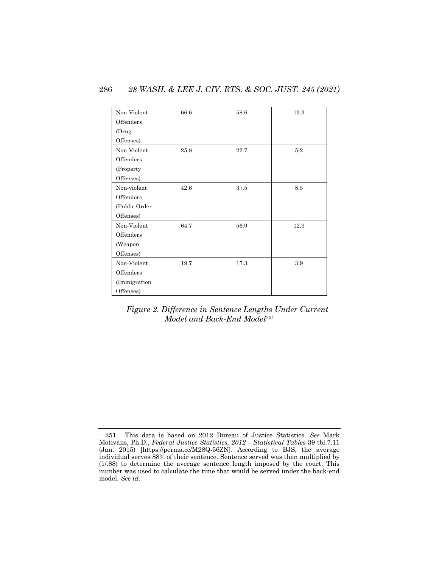| Non-Violent   | 66.6 | 58.6 | 13.3 |
|---------------|------|------|------|
| Offenders     |      |      |      |
| (Drug         |      |      |      |
| Offenses)     |      |      |      |
| Non-Violent   | 25.8 | 22.7 | 5.2  |
| Offenders     |      |      |      |
| (Property)    |      |      |      |
| Offenses)     |      |      |      |
| Non-violent   | 42.6 | 37.5 | 8.5  |
| Offenders     |      |      |      |
| (Public Order |      |      |      |
| Offenses)     |      |      |      |
| Non-Violent   | 64.7 | 56.9 | 12.9 |
| Offenders     |      |      |      |
| (Weapon       |      |      |      |
| Offenses)     |      |      |      |
| Non-Violent   | 19.7 | 17.3 | 3.9  |
| Offenders     |      |      |      |
| (Immigration  |      |      |      |
| Offenses)     |      |      |      |

*Figure 2. Difference in Sentence Lengths Under Current Model and Back-End Model*<sup>251</sup>

<sup>251</sup>*.* This data is based on 2012 Bureau of Justice Statistics. *See* Mark Motivans, Ph.D., *Federal Justice Statistics, 2012 – Statistical Tables* 39 tbl.7.11 (Jan. 2015) [https://perma.cc/M28Q-56ZN]. According to BJS, the average individual serves 88% of their sentence. Sentence served was then multiplied by (1/.88) to determine the average sentence length imposed by the court. This number was used to calculate the time that would be served under the back-end model. *See id*.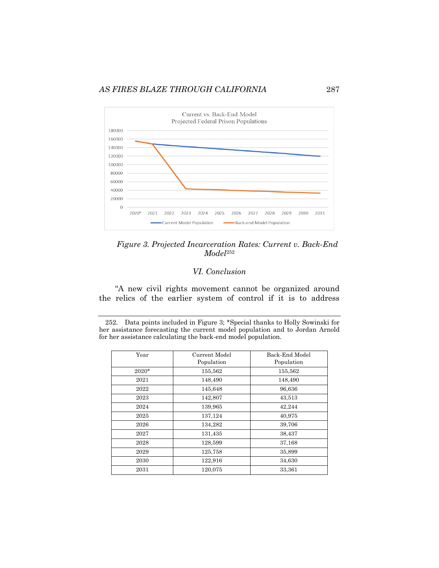*AS FIRES BLAZE THROUGH CALIFORNIA* 287



*Figure 3. Projected Incarceration Rates: Current v. Back-End Model*<sup>252</sup>

## *VI. Conclusion*

"A new civil rights movement cannot be organized around the relics of the earlier system of control if it is to address

<sup>252.</sup> Data points included in Figure 3; \*Special thanks to Holly Sowinski for her assistance forecasting the current model population and to Jordan Arnold for her assistance calculating the back-end model population.

| Year    | Current Model<br>Population | Back-End Model<br>Population |
|---------|-----------------------------|------------------------------|
| $2020*$ | 155,562                     | 155,562                      |
| 2021    | 148,490                     | 148,490                      |
| 2022    | 145,648                     | 96,636                       |
| 2023    | 142,807                     | 43,513                       |
| 2024    | 139,965                     | 42,244                       |
| 2025    | 137,124                     | 40,975                       |
| 2026    | 134,282                     | 39,706                       |
| 2027    | 131,435                     | 38,437                       |
| 2028    | 128,599                     | 37,168                       |
| 2029    | 125,758                     | 35,899                       |
| 2030    | 122,916                     | 34,630                       |
| 2031    | 120,075                     | 33,361                       |